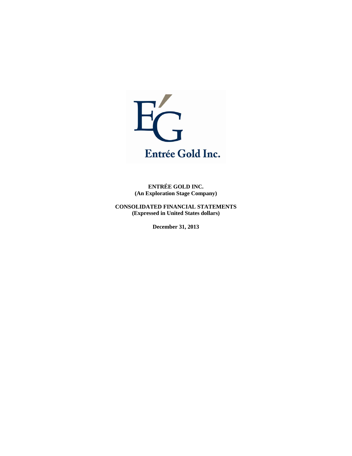

**ENTRÉE GOLD INC. (An Exploration Stage Company)** 

**CONSOLIDATED FINANCIAL STATEMENTS (Expressed in United States dollars)** 

**December 31, 2013**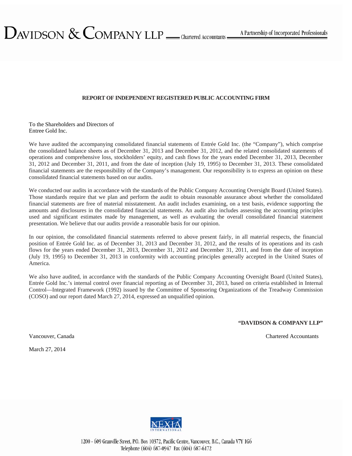# $D$ AVIDSON  $\&$  COMPANY LLP  $\_\_$ Chartered Accountants =

#### **REPORT OF INDEPENDENT REGISTERED PUBLIC ACCOUNTING FIRM**

To the Shareholders and Directors of Entree Gold Inc.

We have audited the accompanying consolidated financial statements of Entrée Gold Inc. (the "Company"), which comprise the consolidated balance sheets as of December 31, 2013 and December 31, 2012, and the related consolidated statements of operations and comprehensive loss, stockholders' equity, and cash flows for the years ended December 31, 2013, December 31, 2012 and December 31, 2011, and from the date of inception (July 19, 1995) to December 31, 2013. These consolidated financial statements are the responsibility of the Company's management. Our responsibility is to express an opinion on these consolidated financial statements based on our audits.

We conducted our audits in accordance with the standards of the Public Company Accounting Oversight Board (United States). Those standards require that we plan and perform the audit to obtain reasonable assurance about whether the consolidated financial statements are free of material misstatement. An audit includes examining, on a test basis, evidence supporting the amounts and disclosures in the consolidated financial statements. An audit also includes assessing the accounting principles used and significant estimates made by management, as well as evaluating the overall consolidated financial statement presentation. We believe that our audits provide a reasonable basis for our opinion.

In our opinion, the consolidated financial statements referred to above present fairly, in all material respects, the financial position of Entrée Gold Inc. as of December 31, 2013 and December 31, 2012, and the results of its operations and its cash flows for the years ended December 31, 2013, December 31, 2012 and December 31, 2011, and from the date of inception (July 19, 1995) to December 31, 2013 in conformity with accounting principles generally accepted in the United States of America.

We also have audited, in accordance with the standards of the Public Company Accounting Oversight Board (United States), Entrée Gold Inc.'s internal control over financial reporting as of December 31, 2013, based on criteria established in Internal Control—Integrated Framework (1992) issued by the Committee of Sponsoring Organizations of the Treadway Commission (COSO) and our report dated March 27, 2014, expressed an unqualified opinion.

**"DAVIDSON & COMPANY LLP"** 

Vancouver, Canada Chartered Accountants Chartered Accountants

March 27, 2014

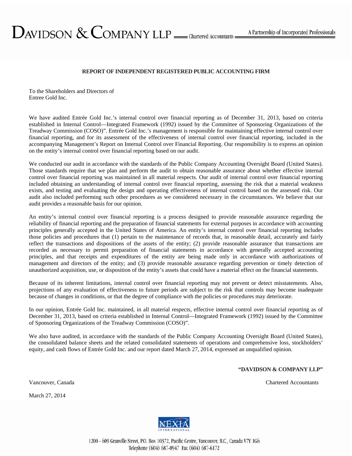# $\sum$ AVIDSON  $\&$  COMPANY LLP  $\_\_$ Chartered Accountants

#### **REPORT OF INDEPENDENT REGISTERED PUBLIC ACCOUNTING FIRM**

To the Shareholders and Directors of Entree Gold Inc.

We have audited Entrée Gold Inc.'s internal control over financial reporting as of December 31, 2013, based on criteria established in Internal Control—Integrated Framework (1992) issued by the Committee of Sponsoring Organizations of the Treadway Commission (COSO)". Entrée Gold Inc.'s management is responsible for maintaining effective internal control over financial reporting, and for its assessment of the effectiveness of internal control over financial reporting, included in the accompanying Management's Report on Internal Control over Financial Reporting. Our responsibility is to express an opinion on the entity's internal control over financial reporting based on our audit.

We conducted our audit in accordance with the standards of the Public Company Accounting Oversight Board (United States). Those standards require that we plan and perform the audit to obtain reasonable assurance about whether effective internal control over financial reporting was maintained in all material respects. Our audit of internal control over financial reporting included obtaining an understanding of internal control over financial reporting, assessing the risk that a material weakness exists, and testing and evaluating the design and operating effectiveness of internal control based on the assessed risk. Our audit also included performing such other procedures as we considered necessary in the circumstances. We believe that our audit provides a reasonable basis for our opinion.

An entity's internal control over financial reporting is a process designed to provide reasonable assurance regarding the reliability of financial reporting and the preparation of financial statements for external purposes in accordance with accounting principles generally accepted in the United States of America. An entity's internal control over financial reporting includes those policies and procedures that (1) pertain to the maintenance of records that, in reasonable detail, accurately and fairly reflect the transactions and dispositions of the assets of the entity; (2) provide reasonable assurance that transactions are recorded as necessary to permit preparation of financial statements in accordance with generally accepted accounting principles, and that receipts and expenditures of the entity are being made only in accordance with authorizations of management and directors of the entity; and (3) provide reasonable assurance regarding prevention or timely detection of unauthorized acquisition, use, or disposition of the entity's assets that could have a material effect on the financial statements.

Because of its inherent limitations, internal control over financial reporting may not prevent or detect misstatements. Also, projections of any evaluation of effectiveness to future periods are subject to the risk that controls may become inadequate because of changes in conditions, or that the degree of compliance with the policies or procedures may deteriorate.

In our opinion, Entrée Gold Inc. maintained, in all material respects, effective internal control over financial reporting as of December 31, 2013, based on criteria established in Internal Control—Integrated Framework (1992) issued by the Committee of Sponsoring Organizations of the Treadway Commission (COSO)".

We also have audited, in accordance with the standards of the Public Company Accounting Oversight Board (United States), the consolidated balance sheets and the related consolidated statements of operations and comprehensive loss, stockholders' equity, and cash flows of Entrée Gold Inc. and our report dated March 27, 2014, expressed an unqualified opinion.

#### **"DAVIDSON & COMPANY LLP"**

Vancouver, Canada Chartered Accountants Chartered Accountants

March 27, 2014

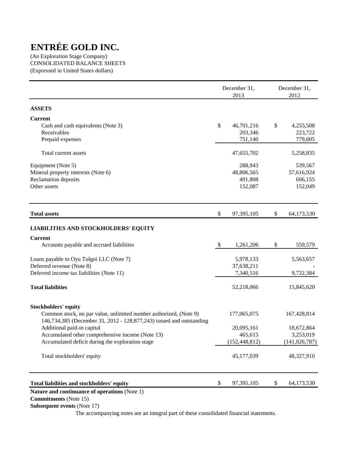(An Exploration Stage Company) CONSOLIDATED BALANCE SHEETS (Expressed in United States dollars)

|                                                                      | December 31,<br>2013 | December 31,<br>2012 |
|----------------------------------------------------------------------|----------------------|----------------------|
| <b>ASSETS</b>                                                        |                      |                      |
| <b>Current</b>                                                       |                      |                      |
| Cash and cash equivalents (Note 3)                                   | \$<br>46,701,216     | \$<br>4,255,508      |
| Receivables                                                          | 203,346              | 223,722              |
| Prepaid expenses                                                     | 751,140              | 779,605              |
| Total current assets                                                 | 47,655,702           | 5,258,835            |
| Equipment (Note 5)                                                   | 288,943              | 539,567              |
| Mineral property interests (Note 6)                                  | 48,806,565           | 57,616,924           |
| Reclamation deposits                                                 | 491,808              | 606,155              |
| Other assets                                                         | 152,087              | 152,049              |
| <b>Total assets</b>                                                  | \$<br>97,395,105     | \$<br>64,173,530     |
|                                                                      |                      |                      |
| <b>LIABILITIES AND STOCKHOLDERS' EQUITY</b>                          |                      |                      |
| <b>Current</b>                                                       |                      |                      |
| Accounts payable and accrued liabilities                             | \$<br>1,261,206      | \$<br>559,579        |
| Loans payable to Oyu Tolgoi LLC (Note 7)                             | 5,978,133            | 5,563,657            |
| Deferred revenue (Note 8)                                            | 37,638,211           |                      |
| Deferred income tax liabilities (Note 11)                            | 7,340,516            | 9,722,384            |
| <b>Total liabilities</b>                                             | 52,218,066           | 15,845,620           |
| <b>Stockholders' equity</b>                                          |                      |                      |
| Common stock, no par value, unlimited number authorized, (Note 9)    | 177,065,075          | 167,428,814          |
| 146,734,385 (December 31, 2012 - 128,877,243) issued and outstanding |                      |                      |
| Additional paid-in capital                                           | 20,095,161           | 18,672,864           |
| Accumulated other comprehensive income (Note 13)                     | 465,615              | 3,253,019            |
| Accumulated deficit during the exploration stage                     | (152, 448, 812)      | (141, 026, 787)      |
| Total stockholders' equity                                           | 45,177,039           | 48,327,910           |
| Total liabilities and stockholders' equity                           | \$<br>97,395,105     | \$<br>64,173,530     |
| Nature and continuance of operations (Note 1)                        |                      |                      |

#### **Commitments** (Note 15)

 **Subsequent events** (Note 17)

The accompanying notes are an integral part of these consolidated financial statements.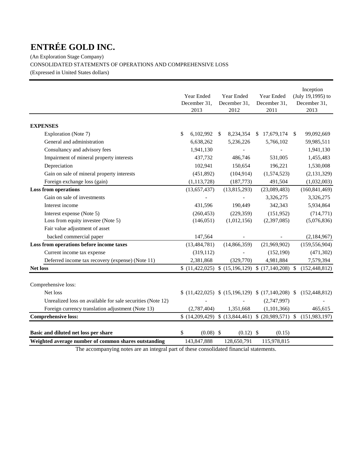(An Exploration Stage Company) CONSOLIDATED STATEMENTS OF OPERATIONS AND COMPREHENSIVE LOSS (Expressed in United States dollars)

|                                                            | Year Ended<br>December 31,<br>2013 |               | Year Ended<br>December 31,<br>2012 |    | Year Ended<br>December 31,<br>2011               |               | Inception<br>(July 19,1995) to<br>December 31,<br>2013                |
|------------------------------------------------------------|------------------------------------|---------------|------------------------------------|----|--------------------------------------------------|---------------|-----------------------------------------------------------------------|
| <b>EXPENSES</b>                                            |                                    |               |                                    |    |                                                  |               |                                                                       |
| Exploration (Note 7)                                       | \$<br>6,102,992                    | <sup>\$</sup> | 8,234,354                          | S. | 17,679,174                                       | \$            | 99,092,669                                                            |
| General and administration                                 | 6,638,262                          |               | 5,236,226                          |    | 5,766,102                                        |               | 59,985,511                                                            |
| Consultancy and advisory fees                              | 1,941,130                          |               |                                    |    |                                                  |               | 1,941,130                                                             |
| Impairment of mineral property interests                   | 437,732                            |               | 486,746                            |    | 531,005                                          |               | 1,455,483                                                             |
| Depreciation                                               | 102,941                            |               | 150,654                            |    | 196,221                                          |               | 1,530,008                                                             |
| Gain on sale of mineral property interests                 | (451,892)                          |               | (104, 914)                         |    | (1,574,523)                                      |               | (2, 131, 329)                                                         |
| Foreign exchange loss (gain)                               | (1, 113, 728)                      |               | (187, 773)                         |    | 491,504                                          |               | (1,032,003)                                                           |
| <b>Loss from operations</b>                                | (13,657,437)                       |               | (13,815,293)                       |    | (23,089,483)                                     |               | (160, 841, 469)                                                       |
| Gain on sale of investments                                |                                    |               |                                    |    | 3,326,275                                        |               | 3,326,275                                                             |
| Interest income                                            | 431,596                            |               | 190,449                            |    | 342,343                                          |               | 5,934,864                                                             |
| Interest expense (Note 5)                                  | (260, 453)                         |               | (229, 359)                         |    | (151,952)                                        |               | (714, 771)                                                            |
| Loss from equity investee (Note 5)                         | (146, 051)                         |               | (1,012,156)                        |    | (2,397,085)                                      |               | (5,076,836)                                                           |
| Fair value adjustment of asset                             |                                    |               |                                    |    |                                                  |               |                                                                       |
| backed commercial paper                                    | 147,564                            |               |                                    |    |                                                  |               | (2,184,967)                                                           |
| Loss from operations before income taxes                   | (13, 484, 781)                     |               | (14, 866, 359)                     |    | (21,969,902)                                     |               | (159, 556, 904)                                                       |
| Current income tax expense                                 | (319, 112)                         |               |                                    |    | (152, 190)                                       |               | (471, 302)                                                            |
| Deferred income tax recovery (expense) (Note 11)           | 2,381,868                          |               | (329,770)                          |    | 4,981,884                                        |               | 7,579,394                                                             |
| <b>Net loss</b>                                            | (11, 422, 025)                     |               |                                    |    | $(15,196,129)$ \$ $(17,140,208)$                 | <sup>\$</sup> | (152, 448, 812)                                                       |
| Comprehensive loss:                                        |                                    |               |                                    |    |                                                  |               |                                                                       |
| Net loss                                                   |                                    |               |                                    |    |                                                  |               | $(11,422,025)$ \$ $(15,196,129)$ \$ $(17,140,208)$ \$ $(152,448,812)$ |
| Unrealized loss on available for sale securities (Note 12) |                                    |               |                                    |    | (2,747,997)                                      |               |                                                                       |
| Foreign currency translation adjustment (Note 13)          | (2,787,404)                        |               | 1,351,668                          |    | (1,101,366)                                      |               | 465,615                                                               |
| <b>Comprehensive loss:</b>                                 |                                    |               |                                    |    | $(14,209,429)$ $(13,844,461)$ $(20,989,571)$ $($ |               | (151, 983, 197)                                                       |
| Basic and diluted net loss per share                       | \$<br>$(0.08)$ \$                  |               | $(0.12)$ \$                        |    | (0.15)                                           |               |                                                                       |
| Weighted average number of common shares outstanding       | 143,847,888                        |               | 128,650,791                        |    | 115,978,815                                      |               |                                                                       |

The accompanying notes are an integral part of these consolidated financial statements.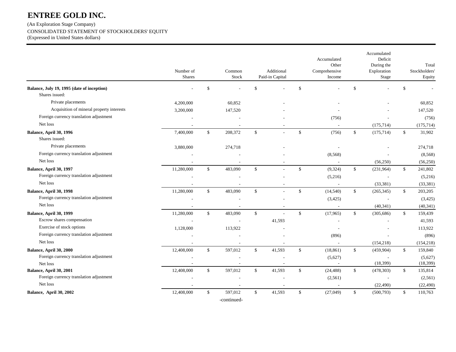(An Exploration Stage Company) CONSOLIDATED STATEMENT OF STOCKHOLDERS' EQUITY (Expressed in United States dollars)

|                                            | Number of<br><b>Shares</b> |              | Common<br>Stock |              | Additional<br>Paid-in Capital | Accumulated<br>Other<br>Comprehensive<br>Income |              | Accumulated<br>Deficit<br>During the<br>Exploration<br>Stage |              | Total<br>Stockholders'<br>Equity |
|--------------------------------------------|----------------------------|--------------|-----------------|--------------|-------------------------------|-------------------------------------------------|--------------|--------------------------------------------------------------|--------------|----------------------------------|
| Balance, July 19, 1995 (date of inception) |                            | \$           |                 | \$           |                               | \$                                              | \$           |                                                              | \$           |                                  |
| Shares issued:                             |                            |              |                 |              |                               |                                                 |              |                                                              |              |                                  |
| Private placements                         | 4,200,000                  |              | 60,852          |              |                               |                                                 |              |                                                              |              | 60,852                           |
| Acquisition of mineral property interests  | 3,200,000                  |              | 147,520         |              |                               |                                                 |              |                                                              |              | 147,520                          |
| Foreign currency translation adjustment    |                            |              |                 |              |                               | (756)                                           |              |                                                              |              | (756)                            |
| Net loss                                   |                            |              |                 |              |                               |                                                 |              | (175, 714)                                                   |              | (175, 714)                       |
| Balance, April 30, 1996<br>Shares issued:  | 7,400,000                  | \$           | 208,372         | $\mathbb{S}$ |                               | \$<br>(756)                                     | \$           | (175, 714)                                                   | \$           | 31,902                           |
| Private placements                         | 3,880,000                  |              | 274,718         |              |                               |                                                 |              |                                                              |              | 274,718                          |
| Foreign currency translation adjustment    |                            |              |                 |              |                               | (8, 568)                                        |              |                                                              |              | (8, 568)                         |
| Net loss                                   |                            |              |                 |              |                               |                                                 |              | (56, 250)                                                    |              | (56, 250)                        |
| Balance, April 30, 1997                    | 11,280,000                 | \$           | 483,090         | $\mathbb{S}$ |                               | \$<br>(9, 324)                                  | \$           | (231,964)                                                    | \$           | 241,802                          |
| Foreign currency translation adjustment    |                            |              |                 |              |                               | (5,216)                                         |              |                                                              |              | (5,216)                          |
| Net loss                                   |                            |              |                 |              |                               |                                                 |              | (33, 381)                                                    |              | (33, 381)                        |
| Balance, April 30, 1998                    | 11,280,000                 | $\mathbb{S}$ | 483,090         | \$           |                               | \$<br>(14, 540)                                 | \$           | (265, 345)                                                   | \$           | 203,205                          |
| Foreign currency translation adjustment    |                            |              |                 |              |                               | (3, 425)                                        |              |                                                              |              | (3, 425)                         |
| Net loss                                   | $\overline{\phantom{a}}$   |              | $\overline{a}$  |              |                               | $\sim$                                          |              | (40, 341)                                                    |              | (40, 341)                        |
| Balance, April 30, 1999                    | 11,280,000                 | \$           | 483,090         | \$           |                               | \$<br>(17,965)                                  | \$           | (305, 686)                                                   | \$           | 159,439                          |
| Escrow shares compensation                 |                            |              |                 |              | 41,593                        |                                                 |              |                                                              |              | 41,593                           |
| Exercise of stock options                  | 1,128,000                  |              | 113,922         |              |                               |                                                 |              |                                                              |              | 113,922                          |
| Foreign currency translation adjustment    |                            |              |                 |              |                               | (896)                                           |              |                                                              |              | (896)                            |
| Net loss                                   | $\overline{\phantom{a}}$   |              |                 |              |                               | $\sim$                                          |              | (154, 218)                                                   |              | (154, 218)                       |
| Balance, April 30, 2000                    | 12,408,000                 | $\mathbb{S}$ | 597,012         | $\mathbb{S}$ | 41,593                        | \$<br>(18, 861)                                 | $\mathbb{S}$ | (459,904)                                                    | $\mathbb{S}$ | 159,840                          |
| Foreign currency translation adjustment    |                            |              |                 |              |                               | (5,627)                                         |              |                                                              |              | (5,627)                          |
| Net loss                                   |                            |              |                 |              |                               | $\sim$                                          |              | (18, 399)                                                    |              | (18, 399)                        |
| Balance, April 30, 2001                    | 12,408,000                 | \$           | 597,012         | $\mathbb{S}$ | 41,593                        | \$<br>(24, 488)                                 | \$           | (478, 303)                                                   | \$           | 135,814                          |
| Foreign currency translation adjustment    |                            |              |                 |              |                               | (2, 561)                                        |              |                                                              |              | (2,561)                          |
| Net loss                                   |                            |              |                 |              |                               |                                                 |              | (22, 490)                                                    |              | (22, 490)                        |
| Balance, April 30, 2002                    | 12,408,000                 | \$           | 597,012         | \$           | 41,593                        | \$<br>(27, 049)                                 | \$           | (500, 793)                                                   | \$           | 110,763                          |

-continued-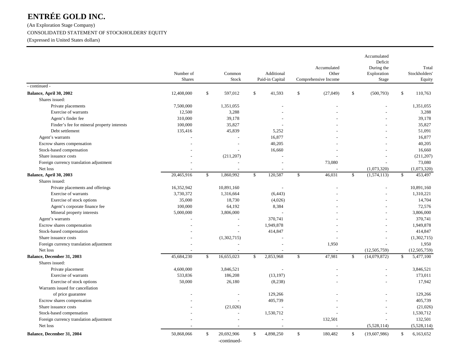(An Exploration Stage Company) CONSOLIDATED STATEMENT OF STOCKHOLDERS' EQUITY

(Expressed in United States dollars)

|                                             | Number of<br><b>Shares</b> |              | Common<br>Stock        |              | Additional<br>Paid-in Capital | Accumulated<br>Other<br>Comprehensive Income | Accumulated<br>Deficit<br>During the<br>Exploration<br>Stage |               | Total<br>Stockholders'<br>Equity |
|---------------------------------------------|----------------------------|--------------|------------------------|--------------|-------------------------------|----------------------------------------------|--------------------------------------------------------------|---------------|----------------------------------|
| - continued -                               |                            |              |                        |              |                               |                                              |                                                              |               |                                  |
| Balance, April 30, 2002                     | 12,408,000                 | \$           | 597,012                | $\mathbb{S}$ | 41,593                        | \$<br>(27, 049)                              | \$<br>(500, 793)                                             | \$            | 110,763                          |
| Shares issued:                              |                            |              |                        |              |                               |                                              |                                                              |               |                                  |
| Private placements                          | 7,500,000                  |              | 1,351,055              |              |                               |                                              |                                                              |               | 1,351,055                        |
| Exercise of warrants                        | 12,500                     |              | 3,288                  |              |                               |                                              |                                                              |               | 3,288                            |
| Agent's finder fee                          | 310,000                    |              | 39,178                 |              |                               |                                              |                                                              |               | 39,178                           |
| Finder's fee for mineral property interests | 100,000                    |              | 35,827                 |              |                               |                                              |                                                              |               | 35,827                           |
| Debt settlement                             | 135,416                    |              | 45,839                 |              | 5,252                         |                                              |                                                              |               | 51,091                           |
| Agent's warrants                            |                            |              |                        |              | 16,877                        |                                              |                                                              |               | 16,877                           |
| Escrow shares compensation                  |                            |              |                        |              | 40,205                        |                                              |                                                              |               | 40,205                           |
| Stock-based compensation                    |                            |              |                        |              | 16,660                        |                                              |                                                              |               | 16,660                           |
| Share issuance costs                        |                            |              | (211, 207)             |              |                               |                                              |                                                              |               | (211, 207)                       |
| Foreign currency translation adjustment     |                            |              |                        |              |                               | 73,080                                       |                                                              |               | 73,080                           |
| Net loss                                    |                            |              |                        |              |                               |                                              | (1,073,320)                                                  |               | (1,073,320)                      |
| Balance, April 30, 2003                     | 20,465,916                 | $\mathbb{S}$ | 1,860,992              | \$           | 120,587                       | \$<br>46,031                                 | \$<br>(1,574,113)                                            | \$            | 453,497                          |
| Shares issued:                              |                            |              |                        |              |                               |                                              |                                                              |               |                                  |
| Private placements and offerings            | 16,352,942                 |              | 10,891,160             |              |                               |                                              |                                                              |               | 10,891,160                       |
| Exercise of warrants                        | 3,730,372                  |              | 1,316,664              |              | (6, 443)                      |                                              | $\overline{a}$                                               |               | 1,310,221                        |
| Exercise of stock options                   | 35,000                     |              | 18,730                 |              | (4,026)                       |                                              |                                                              |               | 14,704                           |
| Agent's corporate finance fee               | 100,000                    |              | 64,192                 |              | 8,384                         |                                              |                                                              |               | 72,576                           |
| Mineral property interests                  | 5,000,000                  |              | 3,806,000              |              |                               |                                              |                                                              |               | 3,806,000                        |
| Agent's warrants                            |                            |              |                        |              | 370,741                       |                                              |                                                              |               | 370,741                          |
| Escrow shares compensation                  |                            |              |                        |              | 1,949,878                     |                                              |                                                              |               | 1,949,878                        |
| Stock-based compensation                    |                            |              |                        |              | 414,847                       |                                              |                                                              |               | 414,847                          |
| Share issuance costs                        |                            |              | (1,302,715)            |              |                               |                                              |                                                              |               | (1,302,715)                      |
| Foreign currency translation adjustment     |                            |              |                        |              |                               | 1,950                                        |                                                              |               | 1,950                            |
| Net loss                                    |                            |              |                        |              |                               |                                              | (12,505,759)                                                 |               | (12, 505, 759)                   |
| Balance, December 31, 2003                  | 45,684,230                 | \$           | 16,655,023             | $\mathbb{S}$ | 2,853,968                     | \$<br>47,981                                 | \$<br>(14,079,872)                                           | <sup>\$</sup> | 5,477,100                        |
| Shares issued:                              |                            |              |                        |              |                               |                                              |                                                              |               |                                  |
| Private placement                           | 4,600,000                  |              | 3,846,521              |              |                               |                                              |                                                              |               | 3,846,521                        |
| Exercise of warrants                        | 533,836                    |              | 186,208                |              | (13, 197)                     |                                              |                                                              |               | 173,011                          |
| Exercise of stock options                   | 50,000                     |              | 26,180                 |              | (8,238)                       |                                              |                                                              |               | 17,942                           |
| Warrants issued for cancellation            |                            |              |                        |              |                               |                                              |                                                              |               |                                  |
| of price guarantee                          |                            |              |                        |              | 129,266                       |                                              |                                                              |               | 129,266                          |
| Escrow shares compensation                  |                            |              |                        |              | 405,739                       |                                              |                                                              |               | 405,739                          |
| Share issuance costs                        |                            |              | (21,026)               |              |                               |                                              |                                                              |               | (21,026)                         |
| Stock-based compensation                    |                            |              |                        |              | 1,530,712                     |                                              |                                                              |               | 1,530,712                        |
| Foreign currency translation adjustment     |                            |              |                        |              | ÷                             | 132,501                                      |                                                              |               | 132,501                          |
| Net loss                                    |                            |              |                        |              |                               |                                              | (5,528,114)                                                  |               | (5,528,114)                      |
|                                             |                            |              |                        |              |                               |                                              |                                                              |               |                                  |
| Balance, December 31, 2004                  | 50,868,066                 | \$           | 20,692,906<br>المستسمم | \$           | 4,898,250                     | \$<br>180,482                                | \$<br>(19,607,986)                                           | \$            | 6,163,652                        |

-continued-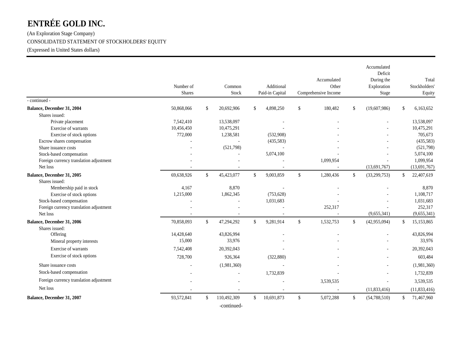(An Exploration Stage Company) CONSOLIDATED STATEMENT OF STOCKHOLDERS' EQUITY

(Expressed in United States dollars)

|                                         | Number of<br>Shares | Common<br>Stock                  |              | Additional<br>Paid-in Capital |              | Accumulated<br>Other<br>Comprehensive Income |              | Accumulated<br>Deficit<br>During the<br>Exploration<br>Stage |               | Total<br>Stockholders'<br>Equity |
|-----------------------------------------|---------------------|----------------------------------|--------------|-------------------------------|--------------|----------------------------------------------|--------------|--------------------------------------------------------------|---------------|----------------------------------|
| - continued -                           |                     |                                  |              |                               |              |                                              |              |                                                              |               |                                  |
| Balance, December 31, 2004              | 50,868,066          | \$<br>20,692,906                 | \$           | 4,898,250                     | $\mathbb{S}$ | 180,482                                      | \$           | (19,607,986)                                                 | \$            | 6,163,652                        |
| Shares issued:                          |                     |                                  |              |                               |              |                                              |              |                                                              |               |                                  |
| Private placement                       | 7,542,410           | 13,538,097                       |              |                               |              |                                              |              |                                                              |               | 13,538,097                       |
| Exercise of warrants                    | 10,456,450          | 10,475,291                       |              |                               |              |                                              |              |                                                              |               | 10,475,291                       |
| Exercise of stock options               | 772,000             | 1,238,581                        |              | (532,908)                     |              |                                              |              |                                                              |               | 705,673                          |
| Escrow shares compensation              |                     |                                  |              | (435,583)                     |              |                                              |              |                                                              |               | (435,583)                        |
| Share issuance costs                    |                     | (521,798)                        |              |                               |              |                                              |              |                                                              |               | (521,798)                        |
| Stock-based compensation                |                     |                                  |              | 5,074,100                     |              |                                              |              |                                                              |               | 5,074,100                        |
| Foreign currency translation adjustment |                     |                                  |              |                               |              | 1,099,954                                    |              |                                                              |               | 1,099,954                        |
| Net loss                                |                     |                                  |              |                               |              |                                              |              | (13,691,767)                                                 |               | (13,691,767)                     |
| Balance, December 31, 2005              | 69,638,926          | \$<br>45,423,077                 | \$           | 9,003,859                     | \$           | 1,280,436                                    | $\mathbb{S}$ | (33,299,753)                                                 | $\mathbb{S}$  | 22,407,619                       |
| Shares issued:                          |                     |                                  |              |                               |              |                                              |              |                                                              |               |                                  |
| Membership paid in stock                | 4,167               | 8,870                            |              |                               |              |                                              |              |                                                              |               | 8,870                            |
| Exercise of stock options               | 1,215,000           | 1,862,345                        |              | (753, 628)                    |              |                                              |              |                                                              |               | 1,108,717                        |
| Stock-based compensation                |                     |                                  |              | 1,031,683                     |              |                                              |              |                                                              |               | 1,031,683                        |
| Foreign currency translation adjustment |                     |                                  |              |                               |              | 252,317                                      |              |                                                              |               | 252,317                          |
| Net loss                                |                     |                                  |              |                               |              |                                              |              | (9,655,341)                                                  |               | (9,655,341)                      |
| Balance, December 31, 2006              | 70,858,093          | \$<br>47,294,292                 | $\mathbb{S}$ | 9,281,914                     | $\mathbb{S}$ | 1,532,753                                    | $\mathbb{S}$ | (42, 955, 094)                                               | $\mathbb{S}$  | 15,153,865                       |
| Shares issued:                          |                     |                                  |              |                               |              |                                              |              |                                                              |               |                                  |
| Offering                                | 14,428,640          | 43,826,994                       |              |                               |              |                                              |              |                                                              |               | 43,826,994                       |
| Mineral property interests              | 15,000              | 33,976                           |              |                               |              |                                              |              |                                                              |               | 33,976                           |
| Exercise of warrants                    | 7,542,408           | 20,392,043                       |              |                               |              |                                              |              |                                                              |               | 20,392,043                       |
| Exercise of stock options               | 728,700             | 926,364                          |              | (322, 880)                    |              |                                              |              |                                                              |               | 603,484                          |
| Share issuance costs                    | ÷.                  | (1,981,360)                      |              |                               |              |                                              |              |                                                              |               | (1,981,360)                      |
| Stock-based compensation                |                     |                                  |              | 1,732,839                     |              |                                              |              |                                                              |               | 1,732,839                        |
| Foreign currency translation adjustment |                     |                                  |              |                               |              |                                              |              |                                                              |               |                                  |
| Net loss                                |                     |                                  |              |                               |              | 3,539,535                                    |              |                                                              |               | 3,539,535                        |
|                                         |                     | $\overline{\phantom{a}}$         |              |                               |              | $\blacksquare$                               |              | (11, 833, 416)                                               |               | (11, 833, 416)                   |
| Balance, December 31, 2007              | 93,572,841          | \$<br>110,492,309<br>-continued- | \$           | 10,691,873                    | $\mathbb{S}$ | 5,072,288                                    | \$           | (54, 788, 510)                                               | $\mathcal{S}$ | 71,467,960                       |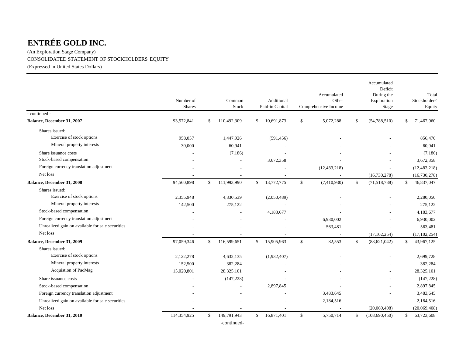(An Exploration Stage Company) CONSOLIDATED STATEMENT OF STOCKHOLDERS' EQUITY (Expressed in United States Dollars)

|                                                  | Number of<br><b>Shares</b> | Common<br>Stock   |              | Additional<br>Paid-in Capital |              | Accumulated<br>Other<br>Comprehensive Income | Accumulated<br>Deficit<br>During the<br>Exploration<br>Stage | Total<br>Stockholders'<br>Equity |
|--------------------------------------------------|----------------------------|-------------------|--------------|-------------------------------|--------------|----------------------------------------------|--------------------------------------------------------------|----------------------------------|
| - continued -                                    |                            |                   |              |                               |              |                                              |                                                              |                                  |
| Balance, December 31, 2007                       | 93,572,841                 | \$<br>110,492,309 | \$           | 10,691,873                    | \$           | 5,072,288                                    | \$<br>(54, 788, 510)                                         | \$<br>71,467,960                 |
| Shares issued:                                   |                            |                   |              |                               |              |                                              |                                                              |                                  |
| Exercise of stock options                        | 958,057                    | 1,447,926         |              | (591, 456)                    |              |                                              |                                                              | 856,470                          |
| Mineral property interests                       | 30,000                     | 60,941            |              |                               |              |                                              |                                                              | 60,941                           |
| Share issuance costs                             |                            | (7,186)           |              |                               |              |                                              |                                                              | (7,186)                          |
| Stock-based compensation                         |                            |                   |              | 3,672,358                     |              |                                              |                                                              | 3,672,358                        |
| Foreign currency translation adjustment          |                            |                   |              |                               |              | (12, 483, 218)                               |                                                              | (12, 483, 218)                   |
| Net loss                                         |                            |                   |              |                               |              |                                              | (16,730,278)                                                 | (16, 730, 278)                   |
| Balance, December 31, 2008                       | 94,560,898                 | \$<br>111,993,990 | $\mathbb{S}$ | 13,772,775                    | \$           | (7,410,930)                                  | \$<br>(71, 518, 788)                                         | \$<br>46,837,047                 |
| Shares issued:                                   |                            |                   |              |                               |              |                                              |                                                              |                                  |
| Exercise of stock options                        | 2,355,948                  | 4,330,539         |              | (2,050,489)                   |              |                                              |                                                              | 2,280,050                        |
| Mineral property interests                       | 142,500                    | 275,122           |              |                               |              |                                              |                                                              | 275,122                          |
| Stock-based compensation                         |                            |                   |              | 4,183,677                     |              |                                              |                                                              | 4,183,677                        |
| Foreign currency translation adjustment          |                            |                   |              |                               |              | 6,930,002                                    |                                                              | 6,930,002                        |
| Unrealized gain on available for sale securities |                            |                   |              |                               |              | 563,481                                      |                                                              | 563,481                          |
| Net loss                                         |                            |                   |              |                               |              |                                              | (17, 102, 254)                                               | (17, 102, 254)                   |
| Balance, December 31, 2009                       | 97,059,346                 | \$<br>116,599,651 | $\mathbb{S}$ | 15,905,963                    | $\mathbb{S}$ | 82,553                                       | \$<br>(88, 621, 042)                                         | \$<br>43,967,125                 |
| Shares issued:                                   |                            |                   |              |                               |              |                                              |                                                              |                                  |
| Exercise of stock options                        | 2,122,278                  | 4,632,135         |              | (1,932,407)                   |              |                                              |                                                              | 2,699,728                        |
| Mineral property interests                       | 152,500                    | 382,284           |              |                               |              |                                              |                                                              | 382,284                          |
| Acquistion of PacMag                             | 15,020,801                 | 28,325,101        |              |                               |              |                                              |                                                              | 28,325,101                       |
| Share issuance costs                             |                            | (147, 228)        |              |                               |              |                                              |                                                              | (147, 228)                       |
| Stock-based compensation                         |                            |                   |              | 2,897,845                     |              |                                              |                                                              | 2,897,845                        |
| Foreign currency translation adjustment          |                            |                   |              |                               |              | 3,483,645                                    |                                                              | 3,483,645                        |
| Unrealized gain on available for sale securities |                            |                   |              |                               |              | 2,184,516                                    |                                                              | 2,184,516                        |
| Net loss                                         |                            |                   |              |                               |              |                                              | (20,069,408)                                                 | (20,069,408)                     |
| Balance, December 31, 2010                       | 114,354,925                | \$<br>149,791,943 | \$           | 16,871,401                    | \$           | 5,750,714                                    | \$<br>(108, 690, 450)                                        | \$<br>63,723,608                 |
|                                                  |                            |                   |              |                               |              |                                              |                                                              |                                  |

-continued-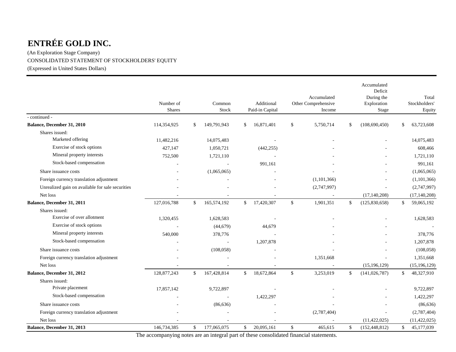(An Exploration Stage Company) CONSOLIDATED STATEMENT OF STOCKHOLDERS' EQUITY (Expressed in United States Dollars)

|                                                  | Number of<br>Shares |               | Common<br>Stock |              | Additional<br>Paid-in Capital |               | Accumulated<br>Other Comprehensive<br>Income | Accumulated<br>Deficit<br>During the<br>Exploration<br>Stage |              | Total<br>Stockholders'<br>Equity |
|--------------------------------------------------|---------------------|---------------|-----------------|--------------|-------------------------------|---------------|----------------------------------------------|--------------------------------------------------------------|--------------|----------------------------------|
| - continued -                                    |                     |               |                 |              |                               |               |                                              |                                                              |              |                                  |
| Balance, December 31, 2010                       | 114,354,925         | \$            | 149,791,943     | \$           | 16,871,401                    | $\mathbb{S}$  | 5,750,714                                    | \$<br>(108, 690, 450)                                        | \$.          | 63,723,608                       |
| Shares issued:                                   |                     |               |                 |              |                               |               |                                              |                                                              |              |                                  |
| Marketed offering                                | 11,482,216          |               | 14,075,483      |              |                               |               |                                              |                                                              |              | 14,075,483                       |
| Exercise of stock options                        | 427,147             |               | 1,050,721       |              | (442, 255)                    |               |                                              |                                                              |              | 608,466                          |
| Mineral property interests                       | 752,500             |               | 1,721,110       |              |                               |               |                                              |                                                              |              | 1,721,110                        |
| Stock-based compensation                         |                     |               |                 |              | 991,161                       |               |                                              |                                                              |              | 991,161                          |
| Share issuance costs                             |                     |               | (1,065,065)     |              |                               |               |                                              |                                                              |              | (1,065,065)                      |
| Foreign currency translation adjustment          |                     |               |                 |              |                               |               | (1,101,366)                                  |                                                              |              | (1,101,366)                      |
| Unrealized gain on available for sale securities |                     |               |                 |              |                               |               | (2,747,997)                                  |                                                              |              | (2,747,997)                      |
| Net loss                                         |                     |               |                 |              |                               |               |                                              | (17, 140, 208)                                               |              | (17, 140, 208)                   |
| Balance, December 31, 2011                       | 127,016,788         | $\mathcal{S}$ | 165,574,192     | \$           | 17,420,307                    | $\mathsf{\$}$ | 1,901,351                                    | \$<br>(125,830,658)                                          | $\mathbb{S}$ | 59,065,192                       |
| Shares issued:                                   |                     |               |                 |              |                               |               |                                              |                                                              |              |                                  |
| Exercise of over allotment                       | 1,320,455           |               | 1,628,583       |              |                               |               |                                              |                                                              |              | 1,628,583                        |
| Exercise of stock options                        |                     |               | (44, 679)       |              | 44,679                        |               |                                              |                                                              |              |                                  |
| Mineral property interests                       | 540,000             |               | 378,776         |              |                               |               |                                              |                                                              |              | 378,776                          |
| Stock-based compensation                         |                     |               |                 |              | 1,207,878                     |               |                                              |                                                              |              | 1,207,878                        |
| Share issuance costs                             |                     |               | (108, 058)      |              |                               |               |                                              |                                                              |              | (108, 058)                       |
| Foreign currency translation adjustment          |                     |               |                 |              |                               |               | 1,351,668                                    |                                                              |              | 1,351,668                        |
| Net loss                                         |                     |               |                 |              |                               |               |                                              | (15, 196, 129)                                               |              | (15, 196, 129)                   |
| Balance, December 31, 2012                       | 128,877,243         | \$            | 167,428,814     | $\mathbb{S}$ | 18,672,864                    | $\mathbb{S}$  | 3,253,019                                    | \$<br>(141, 026, 787)                                        | $\mathbb{S}$ | 48,327,910                       |
| Shares issued:                                   |                     |               |                 |              |                               |               |                                              |                                                              |              |                                  |
| Private placement                                | 17,857,142          |               | 9,722,897       |              |                               |               |                                              |                                                              |              | 9,722,897                        |
| Stock-based compensation                         |                     |               |                 |              | 1,422,297                     |               |                                              |                                                              |              | 1,422,297                        |
| Share issuance costs                             |                     |               | (86, 636)       |              |                               |               |                                              |                                                              |              | (86, 636)                        |
| Foreign currency translation adjustment          |                     |               |                 |              |                               |               | (2,787,404)                                  |                                                              |              | (2,787,404)                      |
| Net loss                                         |                     |               |                 |              |                               |               |                                              | (11, 422, 025)                                               |              | (11, 422, 025)                   |
| Balance, December 31, 2013                       | 146,734,385         | $\mathbb{S}$  | 177,065,075     | \$           | 20,095,161                    | \$            | 465,615                                      | \$<br>(152, 448, 812)                                        | $\mathbb{S}$ | 45,177,039                       |

The accompanying notes are an integral part of these consolidated financial statements.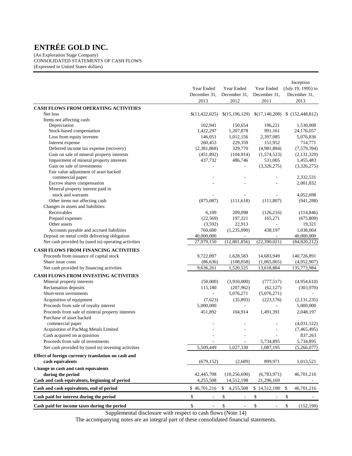(An Exploration Stage Company) CONSOLIDATED STATEMENTS OF CASH FLOWS (Expressed in United States dollars)

|                                                     | Year Ended                     | Year Ended                               | Year Ended                               | Inception<br>(July 19, 1995) to |
|-----------------------------------------------------|--------------------------------|------------------------------------------|------------------------------------------|---------------------------------|
|                                                     | December 31,                   | December 31,                             | December 31.                             | December 31,                    |
|                                                     | 2013                           | 2012                                     | 2011                                     | 2013                            |
|                                                     |                                |                                          |                                          |                                 |
| <b>CASH FLOWS FROM OPERATING ACTIVITIES</b>         |                                |                                          |                                          |                                 |
| Net loss                                            | \$(11,422,025)                 | \$(15,196,129)                           | \$(17,140,208)                           | \$(152, 448, 812)               |
| Items not affecting cash:                           | 102,941                        | 150,654                                  | 196,221                                  | 1,530,008                       |
| Depreciation<br>Stock-based compensation            | 1,422,297                      | 1,207,878                                | 991,161                                  | 24,176,057                      |
| Loss from equity investee                           | 146,051                        | 1,012,156                                | 2,397,085                                | 5,076,836                       |
| Interest expense                                    | 260,453                        | 229,359                                  | 151,952                                  | 714,771                         |
| Deferred income tax expense (recovery)              | (2,381,868)                    | 329,770                                  | (4,981,884)                              | (7,579,394)                     |
| Gain on sale of mineral property interests          | (451, 892)                     | (104, 914)                               | (1,574,523)                              | (2, 131, 329)                   |
| Impairment of mineral property interests            | 437,732                        | 486,746                                  | 531,005                                  | 1,455,483                       |
| Gain on sale of investments                         |                                |                                          | (3,326,275)                              | (3,326,275)                     |
| Fair value adjustment of asset backed               |                                |                                          |                                          |                                 |
| commercial paper                                    |                                |                                          |                                          | 2,332,531                       |
| Escrow shares compensation                          |                                |                                          |                                          | 2,001,832                       |
| Mineral property interest paid in                   |                                |                                          |                                          |                                 |
| stock and warrants                                  |                                |                                          |                                          | 4,052,698                       |
| Other items not affecting cash                      | (875,087)                      | (111, 618)                               | (111, 807)                               | (941, 288)                      |
| Changes in assets and liabilities:                  |                                |                                          |                                          |                                 |
| Receivables                                         | 6,109                          | 209,098                                  | (126, 216)                               | (114, 846)                      |
| Prepaid expenses                                    | (22, 569)                      | 197,321                                  | 165,271                                  | (675, 809)                      |
| Other assets                                        |                                | 22,913                                   |                                          | 19,321                          |
| Accounts payable and accrued liabilities            | (3,592)<br>760,600             | (1,235,090)                              | 438,197                                  | 1,038,004                       |
| Deposit on metal credit delivering obligation       | 40,000,000                     |                                          |                                          | 40,000,000                      |
|                                                     |                                |                                          | (22, 390, 021)                           |                                 |
| Net cash provided by (used in) operating activities | 27,979,150                     | (12,801,856)                             |                                          | (84,820,212)                    |
| <b>CASH FLOWS FROM FINANCING ACTIVITIES</b>         |                                |                                          |                                          |                                 |
| Proceeds from issuance of capital stock             | 9,722,897                      | 1,628,583                                | 14,683,949                               | 140,726,891                     |
| Share issue costs                                   | (86, 636)                      | (108, 058)                               | (1,065,065)                              | (4,952,907)                     |
| Net cash provided by financing activities           | 9,636,261                      | 1,520,525                                | 13,618,884                               | 135,773,984                     |
| CASH FLOWS FROM INVESTING ACTIVITIES                |                                |                                          |                                          |                                 |
| Mineral property interests                          | (50,000)                       | (3,910,000)                              | (777, 517)                               | (4,954,610)                     |
| Reclamation deposits                                | 115,180                        | (207, 962)                               | (62, 127)                                | (303,970)                       |
| Short-term investments                              | $\overline{\phantom{a}}$       | 5,076,271                                | (5,076,271)                              |                                 |
| Acquisition of equipment                            | (7,623)                        | (35,893)                                 | (223, 176)                               | (2, 131, 235)                   |
| Proceeds from sale of royalty interest              | 5,000,000                      | $\overline{\phantom{a}}$                 |                                          | 5,000,000                       |
| Proceeds from sale of mineral property interests    | 451,892                        | 104,914                                  | 1,491,391                                | 2,048,197                       |
| Purchase of asset backed                            |                                |                                          |                                          |                                 |
| commercial paper                                    |                                |                                          |                                          | (4,031,122)                     |
| Acquisition of PacMag Metals Limited                |                                |                                          |                                          | (7,465,495)                     |
| Cash acquired on acquisition                        |                                |                                          | $\overline{\phantom{a}}$                 | 837,263                         |
|                                                     |                                |                                          |                                          |                                 |
| Proceeds from sale of investments                   | 5,509,449                      | $\overline{\phantom{a}}$                 | 5,734,895                                | 5,734,895                       |
| Net cash provided by (used in) investing activities |                                | 1,027,330                                | 1,087,195                                | (5,266,077)                     |
| Effect of foreign currency translation on cash and  |                                |                                          |                                          |                                 |
| cash equivalents                                    | (679, 152)                     | (2,689)                                  | 899,971                                  | 1,013,521                       |
| Change in cash and cash equivalents                 |                                |                                          |                                          |                                 |
| during the period                                   | 42,445,708                     | (10, 256, 690)                           | (6,783,971)                              | 46,701,216                      |
| Cash and cash equivalents, beginning of period      | 4,255,508                      | 14,512,198                               | 21,296,169                               |                                 |
| Cash and cash equivalents, end of period            | \$46,701,216                   | \$<br>4,255,508                          | \$14,512,198                             | \$<br>46,701,216                |
| Cash paid for interest during the period            | \$<br>$\blacksquare$           | \$<br>$\blacksquare$                     | \$<br>$\blacksquare$                     | \$                              |
| Cash paid for income taxes during the period        | \$<br>$\overline{\phantom{a}}$ | $\mathbb{S}$<br>$\overline{\phantom{a}}$ | $\mathbb{S}$<br>$\overline{\phantom{a}}$ | \$<br>(152, 190)                |

Supplemental disclosure with respect to cash flows (Note 14)

The accompanying notes are an integral part of these consolidated financial statements.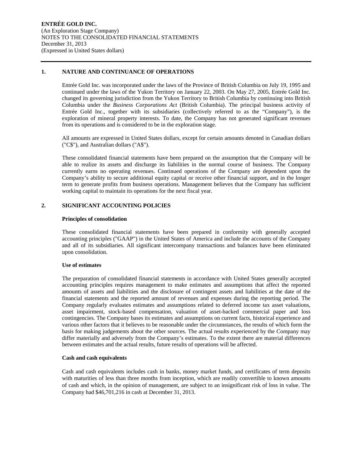#### **1. NATURE AND CONTINUANCE OF OPERATIONS**

Entrée Gold Inc. was incorporated under the laws of the Province of British Columbia on July 19, 1995 and continued under the laws of the Yukon Territory on January 22, 2003. On May 27, 2005, Entrée Gold Inc. changed its governing jurisdiction from the Yukon Territory to British Columbia by continuing into British Columbia under the *Business Corporations Act* (British Columbia). The principal business activity of Entrée Gold Inc., together with its subsidiaries (collectively referred to as the "Company"), is the exploration of mineral property interests. To date, the Company has not generated significant revenues from its operations and is considered to be in the exploration stage.

All amounts are expressed in United States dollars, except for certain amounts denoted in Canadian dollars ("C\$"), and Australian dollars ("A\$").

These consolidated financial statements have been prepared on the assumption that the Company will be able to realize its assets and discharge its liabilities in the normal course of business. The Company currently earns no operating revenues. Continued operations of the Company are dependent upon the Company's ability to secure additional equity capital or receive other financial support, and in the longer term to generate profits from business operations. Management believes that the Company has sufficient working capital to maintain its operations for the next fiscal year.

#### **2. SIGNIFICANT ACCOUNTING POLICIES**

#### **Principles of consolidation**

These consolidated financial statements have been prepared in conformity with generally accepted accounting principles ("GAAP") in the United States of America and include the accounts of the Company and all of its subsidiaries. All significant intercompany transactions and balances have been eliminated upon consolidation.

#### **Use of estimates**

The preparation of consolidated financial statements in accordance with United States generally accepted accounting principles requires management to make estimates and assumptions that affect the reported amounts of assets and liabilities and the disclosure of contingent assets and liabilities at the date of the financial statements and the reported amount of revenues and expenses during the reporting period. The Company regularly evaluates estimates and assumptions related to deferred income tax asset valuations, asset impairment, stock-based compensation, valuation of asset-backed commercial paper and loss contingencies. The Company bases its estimates and assumptions on current facts, historical experience and various other factors that it believes to be reasonable under the circumstances, the results of which form the basis for making judgements about the other sources. The actual results experienced by the Company may differ materially and adversely from the Company's estimates. To the extent there are material differences between estimates and the actual results, future results of operations will be affected.

#### **Cash and cash equivalents**

Cash and cash equivalents includes cash in banks, money market funds, and certificates of term deposits with maturities of less than three months from inception, which are readily convertible to known amounts of cash and which, in the opinion of management, are subject to an insignificant risk of loss in value. The Company had \$46,701,216 in cash at December 31, 2013.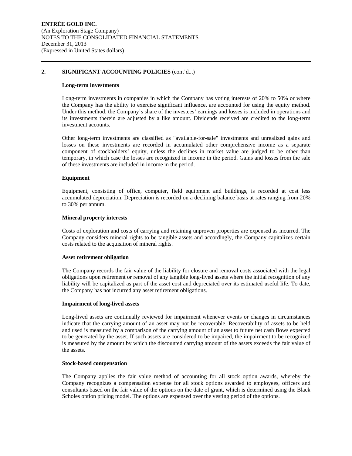#### **2. SIGNIFICANT ACCOUNTING POLICIES** (cont'd...)

#### **Long-term investments**

Long-term investments in companies in which the Company has voting interests of 20% to 50% or where the Company has the ability to exercise significant influence, are accounted for using the equity method. Under this method, the Company's share of the investees' earnings and losses is included in operations and its investments therein are adjusted by a like amount. Dividends received are credited to the long-term investment accounts.

Other long-term investments are classified as "available-for-sale" investments and unrealized gains and losses on these investments are recorded in accumulated other comprehensive income as a separate component of stockholders' equity, unless the declines in market value are judged to be other than temporary, in which case the losses are recognized in income in the period. Gains and losses from the sale of these investments are included in income in the period.

#### **Equipment**

Equipment, consisting of office, computer, field equipment and buildings, is recorded at cost less accumulated depreciation. Depreciation is recorded on a declining balance basis at rates ranging from 20% to 30% per annum.

#### **Mineral property interests**

Costs of exploration and costs of carrying and retaining unproven properties are expensed as incurred. The Company considers mineral rights to be tangible assets and accordingly, the Company capitalizes certain costs related to the acquisition of mineral rights.

#### **Asset retirement obligation**

The Company records the fair value of the liability for closure and removal costs associated with the legal obligations upon retirement or removal of any tangible long-lived assets where the initial recognition of any liability will be capitalized as part of the asset cost and depreciated over its estimated useful life. To date, the Company has not incurred any asset retirement obligations.

#### **Impairment of long-lived assets**

Long-lived assets are continually reviewed for impairment whenever events or changes in circumstances indicate that the carrying amount of an asset may not be recoverable. Recoverability of assets to be held and used is measured by a comparison of the carrying amount of an asset to future net cash flows expected to be generated by the asset. If such assets are considered to be impaired, the impairment to be recognized is measured by the amount by which the discounted carrying amount of the assets exceeds the fair value of the assets.

#### **Stock-based compensation**

The Company applies the fair value method of accounting for all stock option awards, whereby the Company recognizes a compensation expense for all stock options awarded to employees, officers and consultants based on the fair value of the options on the date of grant, which is determined using the Black Scholes option pricing model. The options are expensed over the vesting period of the options.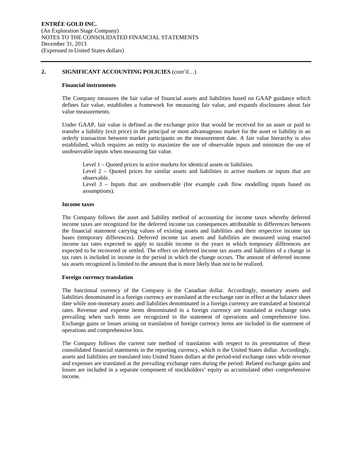#### **2. SIGNIFICANT ACCOUNTING POLICIES** (cont'd…)

#### **Financial instruments**

The Company measures the fair value of financial assets and liabilities based on GAAP guidance which defines fair value, establishes a framework for measuring fair value, and expands disclosures about fair value measurements.

Under GAAP, fair value is defined as the exchange price that would be received for an asset or paid to transfer a liability (exit price) in the principal or most advantageous market for the asset or liability in an orderly transaction between market participants on the measurement date. A fair value hierarchy is also established, which requires an entity to maximize the use of observable inputs and minimize the use of unobservable inputs when measuring fair value.

Level 1 – Quoted prices in active markets for identical assets or liabilities.

Level 2 – Quoted prices for similar assets and liabilities in active markets or inputs that are observable.

Level 3 – Inputs that are unobservable (for example cash flow modelling inputs based on assumptions).

#### **Income taxes**

The Company follows the asset and liability method of accounting for income taxes whereby deferred income taxes are recognized for the deferred income tax consequences attributable to differences between the financial statement carrying values of existing assets and liabilities and their respective income tax bases (temporary differences). Deferred income tax assets and liabilities are measured using enacted income tax rates expected to apply to taxable income in the years in which temporary differences are expected to be recovered or settled. The effect on deferred income tax assets and liabilities of a change in tax rates is included in income in the period in which the change occurs. The amount of deferred income tax assets recognized is limited to the amount that is more likely than not to be realized.

#### **Foreign currency translation**

The functional currency of the Company is the Canadian dollar. Accordingly, monetary assets and liabilities denominated in a foreign currency are translated at the exchange rate in effect at the balance sheet date while non-monetary assets and liabilities denominated in a foreign currency are translated at historical rates. Revenue and expense items denominated in a foreign currency are translated at exchange rates prevailing when such items are recognized in the statement of operations and comprehensive loss. Exchange gains or losses arising on translation of foreign currency items are included in the statement of operations and comprehensive loss.

The Company follows the current rate method of translation with respect to its presentation of these consolidated financial statements in the reporting currency, which is the United States dollar. Accordingly, assets and liabilities are translated into United States dollars at the period-end exchange rates while revenue and expenses are translated at the prevailing exchange rates during the period. Related exchange gains and losses are included in a separate component of stockholders' equity as accumulated other comprehensive income.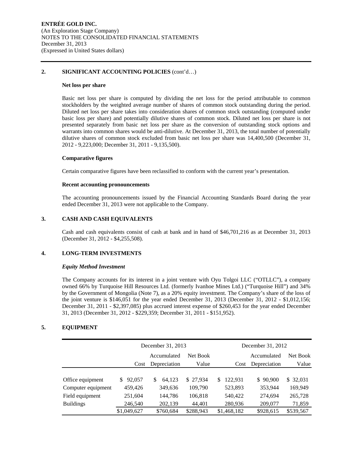#### **2. SIGNIFICANT ACCOUNTING POLICIES** (cont'd…)

#### **Net loss per share**

Basic net loss per share is computed by dividing the net loss for the period attributable to common stockholders by the weighted average number of shares of common stock outstanding during the period. Diluted net loss per share takes into consideration shares of common stock outstanding (computed under basic loss per share) and potentially dilutive shares of common stock. Diluted net loss per share is not presented separately from basic net loss per share as the conversion of outstanding stock options and warrants into common shares would be anti-dilutive. At December 31, 2013, the total number of potentially dilutive shares of common stock excluded from basic net loss per share was 14,400,500 (December 31, 2012 - 9,223,000; December 31, 2011 - 9,135,500).

#### **Comparative figures**

Certain comparative figures have been reclassified to conform with the current year's presentation.

#### **Recent accounting pronouncements**

The accounting pronouncements issued by the Financial Accounting Standards Board during the year ended December 31, 2013 were not applicable to the Company.

#### **3. CASH AND CASH EQUIVALENTS**

Cash and cash equivalents consist of cash at bank and in hand of \$46,701,216 as at December 31, 2013 (December 31, 2012 - \$4,255,508).

#### **4. LONG-TERM INVESTMENTS**

#### *Equity Method Investment*

The Company accounts for its interest in a joint venture with Oyu Tolgoi LLC ("OTLLC"), a company owned 66% by Turquoise Hill Resources Ltd. (formerly Ivanhoe Mines Ltd.) ("Turquoise Hill") and 34% by the Government of Mongolia (Note 7), as a 20% equity investment. The Company's share of the loss of the joint venture is \$146,051 for the year ended December 31, 2013 (December 31, 2012 - \$1,012,156; December 31, 2011 - \$2,397,085) plus accrued interest expense of \$260,453 for the year ended December 31, 2013 (December 31, 2012 - \$229,359; December 31, 2011 - \$151,952).

#### **5. EQUIPMENT**

|                    |              | December 31, 2013 |           |               | December 31, 2012 |           |
|--------------------|--------------|-------------------|-----------|---------------|-------------------|-----------|
|                    |              | Accumulated       | Net Book  |               | Accumulated       | Net Book  |
|                    | Cost         | Depreciation      | Value     | Cost          | Depreciation      | Value     |
|                    |              |                   |           |               |                   |           |
| Office equipment   | 92,057<br>S. | 64.123<br>S       | \$27,934  | 122.931<br>S. | \$90.900          | \$ 32,031 |
| Computer equipment | 459,426      | 349,636           | 109,790   | 523,893       | 353,944           | 169,949   |
| Field equipment    | 251,604      | 144,786           | 106,818   | 540,422       | 274,694           | 265,728   |
| <b>Buildings</b>   | 246,540      | 202,139           | 44,401    | 280,936       | 209,077           | 71,859    |
|                    | \$1,049,627  | \$760,684         | \$288,943 | \$1,468,182   | \$928,615         | \$539,567 |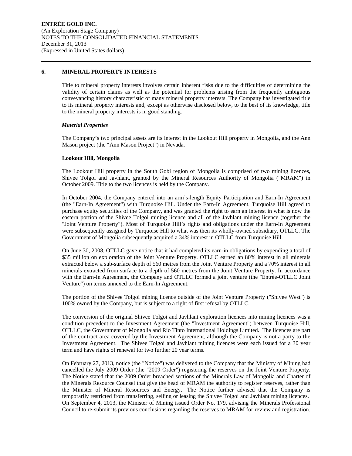#### **6. MINERAL PROPERTY INTERESTS**

Title to mineral property interests involves certain inherent risks due to the difficulties of determining the validity of certain claims as well as the potential for problems arising from the frequently ambiguous conveyancing history characteristic of many mineral property interests. The Company has investigated title to its mineral property interests and, except as otherwise disclosed below, to the best of its knowledge, title to the mineral property interests is in good standing.

#### *Material Properties*

The Company's two principal assets are its interest in the Lookout Hill property in Mongolia, and the Ann Mason project (the "Ann Mason Project") in Nevada.

#### **Lookout Hill, Mongolia**

The Lookout Hill property in the South Gobi region of Mongolia is comprised of two mining licences, Shivee Tolgoi and Javhlant, granted by the Mineral Resources Authority of Mongolia ("MRAM") in October 2009. Title to the two licences is held by the Company.

In October 2004, the Company entered into an arm's-length Equity Participation and Earn-In Agreement (the "Earn-In Agreement") with Turquoise Hill. Under the Earn-In Agreement, Turquoise Hill agreed to purchase equity securities of the Company, and was granted the right to earn an interest in what is now the eastern portion of the Shivee Tolgoi mining licence and all of the Javhlant mining licence (together the "Joint Venture Property"). Most of Turquoise Hill's rights and obligations under the Earn-In Agreement were subsequently assigned by Turquoise Hill to what was then its wholly-owned subsidiary, OTLLC. The Government of Mongolia subsequently acquired a 34% interest in OTLLC from Turquoise Hill.

On June 30, 2008, OTLLC gave notice that it had completed its earn-in obligations by expending a total of \$35 million on exploration of the Joint Venture Property. OTLLC earned an 80% interest in all minerals extracted below a sub-surface depth of 560 metres from the Joint Venture Property and a 70% interest in all minerals extracted from surface to a depth of 560 metres from the Joint Venture Property. In accordance with the Earn-In Agreement, the Company and OTLLC formed a joint venture (the "Entrée-OTLLC Joint Venture") on terms annexed to the Earn-In Agreement.

The portion of the Shivee Tolgoi mining licence outside of the Joint Venture Property ("Shivee West") is 100% owned by the Company, but is subject to a right of first refusal by OTLLC.

The conversion of the original Shivee Tolgoi and Javhlant exploration licences into mining licences was a condition precedent to the Investment Agreement (the "Investment Agreement") between Turquoise Hill, OTLLC, the Government of Mongolia and Rio Tinto International Holdings Limited. The licences are part of the contract area covered by the Investment Agreement, although the Company is not a party to the Investment Agreement. The Shivee Tolgoi and Javhlant mining licences were each issued for a 30 year term and have rights of renewal for two further 20 year terms.

On February 27, 2013, notice (the "Notice") was delivered to the Company that the Ministry of Mining had cancelled the July 2009 Order (the "2009 Order") registering the reserves on the Joint Venture Property. The Notice stated that the 2009 Order breached sections of the Minerals Law of Mongolia and Charter of the Minerals Resource Counsel that give the head of MRAM the authority to register reserves, rather than the Minister of Mineral Resources and Energy. The Notice further advised that the Company is temporarily restricted from transferring, selling or leasing the Shivee Tolgoi and Javhlant mining licences. On September 4, 2013, the Minister of Mining issued Order No. 179, advising the Minerals Professional Council to re-submit its previous conclusions regarding the reserves to MRAM for review and registration.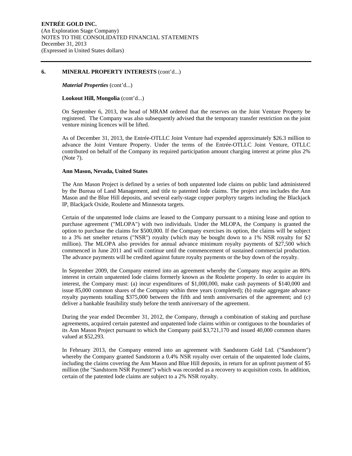#### **6. MINERAL PROPERTY INTERESTS** (cont'd...)

#### *Material Properties* (cont'd...)

#### **Lookout Hill, Mongolia** (cont'd...)

On September 6, 2013, the head of MRAM ordered that the reserves on the Joint Venture Property be registered. The Company was also subsequently advised that the temporary transfer restriction on the joint venture mining licences will be lifted.

As of December 31, 2013, the Entrée-OTLLC Joint Venture had expended approximately \$26.3 million to advance the Joint Venture Property. Under the terms of the Entrée-OTLLC Joint Venture, OTLLC contributed on behalf of the Company its required participation amount charging interest at prime plus 2% (Note 7).

#### **Ann Mason, Nevada, United States**

The Ann Mason Project is defined by a series of both unpatented lode claims on public land administered by the Bureau of Land Management, and title to patented lode claims. The project area includes the Ann Mason and the Blue Hill deposits, and several early-stage copper porphyry targets including the Blackjack IP, Blackjack Oxide, Roulette and Minnesota targets.

Certain of the unpatented lode claims are leased to the Company pursuant to a mining lease and option to purchase agreement ("MLOPA") with two individuals. Under the MLOPA, the Company is granted the option to purchase the claims for \$500,000. If the Company exercises its option, the claims will be subject to a 3% net smelter returns ("NSR") royalty (which may be bought down to a 1% NSR royalty for \$2 million). The MLOPA also provides for annual advance minimum royalty payments of \$27,500 which commenced in June 2011 and will continue until the commencement of sustained commercial production. The advance payments will be credited against future royalty payments or the buy down of the royalty.

In September 2009, the Company entered into an agreement whereby the Company may acquire an 80% interest in certain unpatented lode claims formerly known as the Roulette property. In order to acquire its interest, the Company must: (a) incur expenditures of \$1,000,000, make cash payments of \$140,000 and issue 85,000 common shares of the Company within three years (completed); (b) make aggregate advance royalty payments totalling \$375,000 between the fifth and tenth anniversaries of the agreement; and (c) deliver a bankable feasibility study before the tenth anniversary of the agreement.

During the year ended December 31, 2012, the Company, through a combination of staking and purchase agreements, acquired certain patented and unpatented lode claims within or contiguous to the boundaries of its Ann Mason Project pursuant to which the Company paid \$3,721,170 and issued 40,000 common shares valued at \$52,293.

In February 2013, the Company entered into an agreement with Sandstorm Gold Ltd. ("Sandstorm") whereby the Company granted Sandstorm a 0.4% NSR royalty over certain of the unpatented lode claims, including the claims covering the Ann Mason and Blue Hill deposits, in return for an upfront payment of \$5 million (the "Sandstorm NSR Payment") which was recorded as a recovery to acquisition costs. In addition, certain of the patented lode claims are subject to a 2% NSR royalty.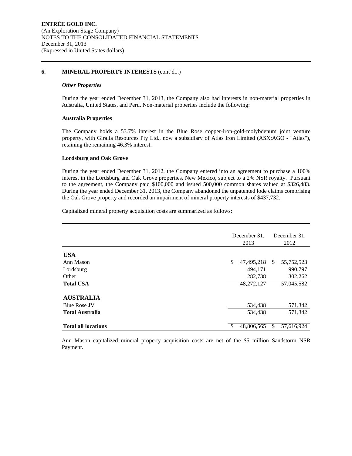#### **6. MINERAL PROPERTY INTERESTS** (cont'd...)

#### *Other Properties*

During the year ended December 31, 2013, the Company also had interests in non-material properties in Australia, United States, and Peru. Non-material properties include the following:

#### **Australia Properties**

The Company holds a 53.7% interest in the Blue Rose copper-iron-gold-molybdenum joint venture property, with Giralia Resources Pty Ltd., now a subsidiary of Atlas Iron Limited (ASX:AGO - "Atlas"), retaining the remaining 46.3% interest.

#### **Lordsburg and Oak Grove**

During the year ended December 31, 2012, the Company entered into an agreement to purchase a 100% interest in the Lordsburg and Oak Grove properties, New Mexico, subject to a 2% NSR royalty. Pursuant to the agreement, the Company paid \$100,000 and issued 500,000 common shares valued at \$326,483. During the year ended December 31, 2013, the Company abandoned the unpatented lode claims comprising the Oak Grove property and recorded an impairment of mineral property interests of \$437,732.

Capitalized mineral property acquisition costs are summarized as follows:

|                            | December 31,<br>2013 | December 31.<br>2012 |            |  |
|----------------------------|----------------------|----------------------|------------|--|
| <b>USA</b>                 |                      |                      |            |  |
| Ann Mason                  | \$<br>47,495,218     | S                    | 55,752,523 |  |
| Lordsburg                  | 494,171              |                      | 990,797    |  |
| Other                      | 282,738              |                      | 302,262    |  |
| <b>Total USA</b>           | 48,272,127           |                      | 57,045,582 |  |
| <b>AUSTRALIA</b>           |                      |                      |            |  |
| <b>Blue Rose JV</b>        | 534,438              |                      | 571,342    |  |
| <b>Total Australia</b>     | 534,438              |                      | 571,342    |  |
| <b>Total all locations</b> | \$<br>48,806,565     |                      | 57,616,924 |  |

Ann Mason capitalized mineral property acquisition costs are net of the \$5 million Sandstorm NSR Payment.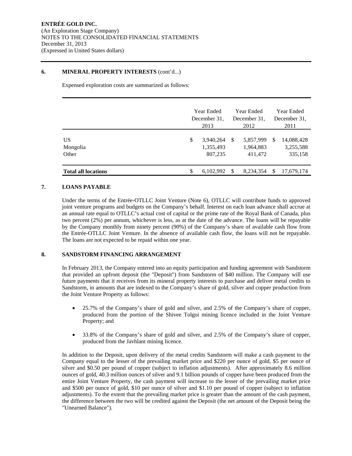#### **6. MINERAL PROPERTY INTERESTS** (cont'd...)

Expensed exploration costs are summarized as follows:

|                            | <b>Year Ended</b><br>December 31,<br>2013 | Year Ended<br>December 31,<br>2012 |                                   |          | Year Ended<br>December 31.<br>2011 |
|----------------------------|-------------------------------------------|------------------------------------|-----------------------------------|----------|------------------------------------|
| US<br>Mongolia<br>Other    | \$<br>3,940,264<br>1,355,493<br>807,235   | <b>S</b>                           | 5,857,999<br>1,964,883<br>411,472 | <b>S</b> | 14,088,428<br>3,255,588<br>335,158 |
| <b>Total all locations</b> | \$<br>6,102,992                           |                                    | 8,234,354                         |          | 17,679,174                         |

#### **7. LOANS PAYABLE**

Under the terms of the Entrée-OTLLC Joint Venture (Note 6), OTLLC will contribute funds to approved joint venture programs and budgets on the Company's behalf. Interest on each loan advance shall accrue at an annual rate equal to OTLLC's actual cost of capital or the prime rate of the Royal Bank of Canada, plus two percent (2%) per annum, whichever is less, as at the date of the advance. The loans will be repayable by the Company monthly from ninety percent (90%) of the Company's share of available cash flow from the Entrée-OTLLC Joint Venture. In the absence of available cash flow, the loans will not be repayable. The loans are not expected to be repaid within one year.

#### **8. SANDSTORM FINANCING ARRANGEMENT**

In February 2013, the Company entered into an equity participation and funding agreement with Sandstorm that provided an upfront deposit (the "Deposit") from Sandstorm of \$40 million. The Company will use future payments that it receives from its mineral property interests to purchase and deliver metal credits to Sandstorm, in amounts that are indexed to the Company's share of gold, silver and copper production from the Joint Venture Property as follows:

- 25.7% of the Company's share of gold and silver, and 2.5% of the Company's share of copper, produced from the portion of the Shivee Tolgoi mining licence included in the Joint Venture Property; and
- 33.8% of the Company's share of gold and silver, and 2.5% of the Company's share of copper, produced from the Javhlant mining licence.

In addition to the Deposit, upon delivery of the metal credits Sandstorm will make a cash payment to the Company equal to the lesser of the prevailing market price and \$220 per ounce of gold, \$5 per ounce of silver and \$0.50 per pound of copper (subject to inflation adjustments). After approximately 8.6 million ounces of gold, 40.3 million ounces of silver and 9.1 billion pounds of copper have been produced from the entire Joint Venture Property, the cash payment will increase to the lesser of the prevailing market price and \$500 per ounce of gold, \$10 per ounce of silver and \$1.10 per pound of copper (subject to inflation adjustments). To the extent that the prevailing market price is greater than the amount of the cash payment, the difference between the two will be credited against the Deposit (the net amount of the Deposit being the "Unearned Balance").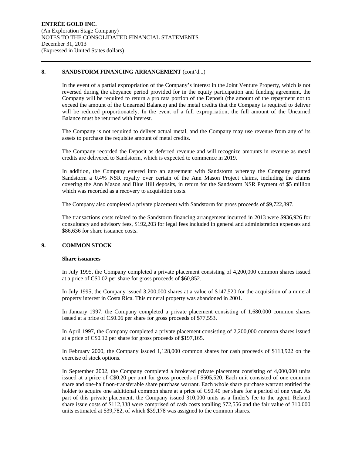#### 8. SANDSTORM FINANCING ARRANGEMENT (cont'd...)

In the event of a partial expropriation of the Company's interest in the Joint Venture Property, which is not reversed during the abeyance period provided for in the equity participation and funding agreement, the Company will be required to return a pro rata portion of the Deposit (the amount of the repayment not to exceed the amount of the Unearned Balance) and the metal credits that the Company is required to deliver will be reduced proportionately. In the event of a full expropriation, the full amount of the Unearned Balance must be returned with interest.

The Company is not required to deliver actual metal, and the Company may use revenue from any of its assets to purchase the requisite amount of metal credits.

The Company recorded the Deposit as deferred revenue and will recognize amounts in revenue as metal credits are delivered to Sandstorm, which is expected to commence in 2019.

In addition, the Company entered into an agreement with Sandstorm whereby the Company granted Sandstorm a 0.4% NSR royalty over certain of the Ann Mason Project claims, including the claims covering the Ann Mason and Blue Hill deposits, in return for the Sandstorm NSR Payment of \$5 million which was recorded as a recovery to acquisition costs.

The Company also completed a private placement with Sandstorm for gross proceeds of \$9,722,897.

The transactions costs related to the Sandstorm financing arrangement incurred in 2013 were \$936,926 for consultancy and advisory fees, \$192,203 for legal fees included in general and administration expenses and \$86,636 for share issuance costs.

#### **9. COMMON STOCK**

#### **Share issuances**

In July 1995, the Company completed a private placement consisting of 4,200,000 common shares issued at a price of C\$0.02 per share for gross proceeds of \$60,852.

In July 1995, the Company issued 3,200,000 shares at a value of \$147,520 for the acquisition of a mineral property interest in Costa Rica. This mineral property was abandoned in 2001.

In January 1997, the Company completed a private placement consisting of 1,680,000 common shares issued at a price of C\$0.06 per share for gross proceeds of \$77,553.

In April 1997, the Company completed a private placement consisting of 2,200,000 common shares issued at a price of C\$0.12 per share for gross proceeds of \$197,165.

In February 2000, the Company issued 1,128,000 common shares for cash proceeds of \$113,922 on the exercise of stock options.

In September 2002, the Company completed a brokered private placement consisting of 4,000,000 units issued at a price of C\$0.20 per unit for gross proceeds of \$505,520. Each unit consisted of one common share and one-half non-transferable share purchase warrant. Each whole share purchase warrant entitled the holder to acquire one additional common share at a price of C\$0.40 per share for a period of one year. As part of this private placement, the Company issued 310,000 units as a finder's fee to the agent. Related share issue costs of \$112,338 were comprised of cash costs totalling \$72,556 and the fair value of 310,000 units estimated at \$39,782, of which \$39,178 was assigned to the common shares.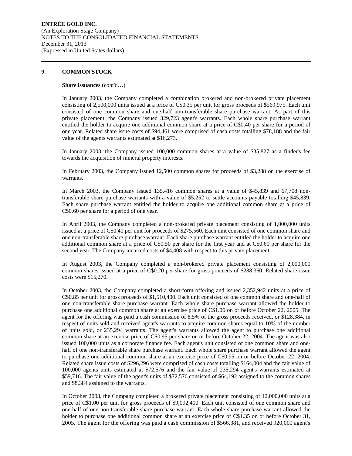#### **9. COMMON STOCK**

#### **Share issuances** (cont'd…)

In January 2003, the Company completed a combination brokered and non-brokered private placement consisting of 2,500,000 units issued at a price of C\$0.35 per unit for gross proceeds of \$569,975. Each unit consisted of one common share and one-half non-transferable share purchase warrant. As part of this private placement, the Company issued 329,723 agent's warrants. Each whole share purchase warrant entitled the holder to acquire one additional common share at a price of C\$0.40 per share for a period of one year. Related share issue costs of \$94,461 were comprised of cash costs totalling \$78,188 and the fair value of the agents warrants estimated at \$16,273.

In January 2003, the Company issued 100,000 common shares at a value of \$35,827 as a finder's fee towards the acquisition of mineral property interests.

In February 2003, the Company issued 12,500 common shares for proceeds of \$3,288 on the exercise of warrants.

In March 2003, the Company issued 135,416 common shares at a value of \$45,839 and 67,708 nontransferable share purchase warrants with a value of \$5,252 to settle accounts payable totalling \$45,839. Each share purchase warrant entitled the holder to acquire one additional common share at a price of C\$0.60 per share for a period of one year.

In April 2003, the Company completed a non-brokered private placement consisting of 1,000,000 units issued at a price of C\$0.40 per unit for proceeds of \$275,560. Each unit consisted of one common share and one non-transferable share purchase warrant. Each share purchase warrant entitled the holder to acquire one additional common share at a price of C\$0.50 per share for the first year and at C\$0.60 per share for the second year. The Company incurred costs of \$4,408 with respect to this private placement.

In August 2003, the Company completed a non-brokered private placement consisting of 2,000,000 common shares issued at a price of C\$0.20 per share for gross proceeds of \$288,360. Related share issue costs were \$15,270.

In October 2003, the Company completed a short-form offering and issued 2,352,942 units at a price of C\$0.85 per unit for gross proceeds of \$1,510,400. Each unit consisted of one common share and one-half of one non-transferable share purchase warrant. Each whole share purchase warrant allowed the holder to purchase one additional common share at an exercise price of C\$1.06 on or before October 22, 2005. The agent for the offering was paid a cash commission of 8.5% of the gross proceeds received, or \$128,384, in respect of units sold and received agent's warrants to acquire common shares equal to 10% of the number of units sold, or 235,294 warrants. The agent's warrants allowed the agent to purchase one additional common share at an exercise price of C\$0.95 per share on or before October 22, 2004. The agent was also issued 100,000 units as a corporate finance fee. Each agent's unit consisted of one common share and onehalf of one non-transferable share purchase warrant. Each whole share purchase warrant allowed the agent to purchase one additional common share at an exercise price of C\$0.95 on or before October 22, 2004. Related share issue costs of \$296,296 were comprised of cash costs totalling \$164,004 and the fair value of 100,000 agents units estimated at \$72,576 and the fair value of 235,294 agent's warrants estimated at \$59,716. The fair value of the agent's units of \$72,576 consisted of \$64,192 assigned to the common shares and \$8,384 assigned to the warrants.

In October 2003, the Company completed a brokered private placement consisting of 12,000,000 units at a price of C\$1.00 per unit for gross proceeds of \$9,092,400. Each unit consisted of one common share and one-half of one non-transferable share purchase warrant. Each whole share purchase warrant allowed the holder to purchase one additional common share at an exercise price of C\$1.35 on or before October 31, 2005. The agent for the offering was paid a cash commission of \$566,381, and received 920,000 agent's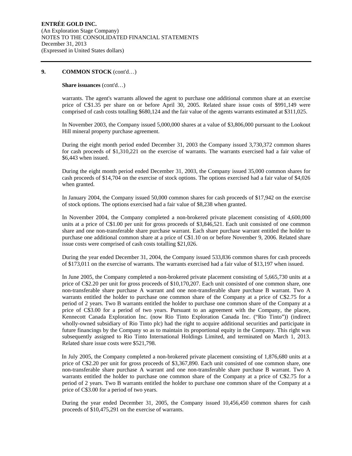#### **Share issuances** (cont'd…)

warrants. The agent's warrants allowed the agent to purchase one additional common share at an exercise price of C\$1.35 per share on or before April 30, 2005. Related share issue costs of \$991,149 were comprised of cash costs totalling \$680,124 and the fair value of the agents warrants estimated at \$311,025.

In November 2003, the Company issued 5,000,000 shares at a value of \$3,806,000 pursuant to the Lookout Hill mineral property purchase agreement.

During the eight month period ended December 31, 2003 the Company issued 3,730,372 common shares for cash proceeds of \$1,310,221 on the exercise of warrants. The warrants exercised had a fair value of \$6,443 when issued.

During the eight month period ended December 31, 2003, the Company issued 35,000 common shares for cash proceeds of \$14,704 on the exercise of stock options. The options exercised had a fair value of \$4,026 when granted.

In January 2004, the Company issued 50,000 common shares for cash proceeds of \$17,942 on the exercise of stock options. The options exercised had a fair value of \$8,238 when granted.

In November 2004, the Company completed a non-brokered private placement consisting of 4,600,000 units at a price of C\$1.00 per unit for gross proceeds of \$3,846,521. Each unit consisted of one common share and one non-transferable share purchase warrant. Each share purchase warrant entitled the holder to purchase one additional common share at a price of C\$1.10 on or before November 9, 2006. Related share issue costs were comprised of cash costs totalling \$21,026.

During the year ended December 31, 2004, the Company issued 533,836 common shares for cash proceeds of \$173,011 on the exercise of warrants. The warrants exercised had a fair value of \$13,197 when issued.

In June 2005, the Company completed a non-brokered private placement consisting of 5,665,730 units at a price of C\$2.20 per unit for gross proceeds of \$10,170,207. Each unit consisted of one common share, one non-transferable share purchase A warrant and one non-transferable share purchase B warrant. Two A warrants entitled the holder to purchase one common share of the Company at a price of C\$2.75 for a period of 2 years. Two B warrants entitled the holder to purchase one common share of the Company at a price of C\$3.00 for a period of two years. Pursuant to an agreement with the Company, the placee, Kennecott Canada Exploration Inc. (now Rio Tinto Exploration Canada Inc. ("Rio Tinto")) (indirect wholly-owned subsidiary of Rio Tinto plc) had the right to acquire additional securities and participate in future financings by the Company so as to maintain its proportional equity in the Company. This right was subsequently assigned to Rio Tinto International Holdings Limited, and terminated on March 1, 2013. Related share issue costs were \$521,798.

In July 2005, the Company completed a non-brokered private placement consisting of 1,876,680 units at a price of C\$2.20 per unit for gross proceeds of \$3,367,890. Each unit consisted of one common share, one non-transferable share purchase A warrant and one non-transferable share purchase B warrant. Two A warrants entitled the holder to purchase one common share of the Company at a price of C\$2.75 for a period of 2 years. Two B warrants entitled the holder to purchase one common share of the Company at a price of C\$3.00 for a period of two years.

During the year ended December 31, 2005, the Company issued 10,456,450 common shares for cash proceeds of \$10,475,291 on the exercise of warrants.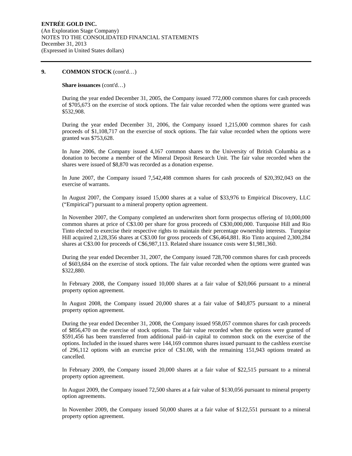#### **Share issuances** (cont'd…)

During the year ended December 31, 2005, the Company issued 772,000 common shares for cash proceeds of \$705,673 on the exercise of stock options. The fair value recorded when the options were granted was \$532,908.

During the year ended December 31, 2006, the Company issued 1,215,000 common shares for cash proceeds of \$1,108,717 on the exercise of stock options. The fair value recorded when the options were granted was \$753,628.

In June 2006, the Company issued 4,167 common shares to the University of British Columbia as a donation to become a member of the Mineral Deposit Research Unit. The fair value recorded when the shares were issued of \$8,870 was recorded as a donation expense.

In June 2007, the Company issued 7,542,408 common shares for cash proceeds of \$20,392,043 on the exercise of warrants.

In August 2007, the Company issued 15,000 shares at a value of \$33,976 to Empirical Discovery, LLC ("Empirical") pursuant to a mineral property option agreement.

In November 2007, the Company completed an underwriten short form prospectus offering of 10,000,000 common shares at price of C\$3.00 per share for gross proceeds of C\$30,000,000. Turquoise Hill and Rio Tinto elected to exercise their respective rights to maintain their percentage ownership interests. Turqoise Hill acquired 2,128,356 shares at C\$3.00 for gross proceeds of C\$6,464,881. Rio Tinto acquired 2,300,284 shares at C\$3.00 for proceeds of C\$6,987,113. Related share issuance costs were \$1,981,360.

During the year ended December 31, 2007, the Company issued 728,700 common shares for cash proceeds of \$603,684 on the exercise of stock options. The fair value recorded when the options were granted was \$322,880.

In February 2008, the Company issued 10,000 shares at a fair value of \$20,066 pursuant to a mineral property option agreement.

In August 2008, the Company issued 20,000 shares at a fair value of \$40,875 pursuant to a mineral property option agreement.

During the year ended December 31, 2008, the Company issued 958,057 common shares for cash proceeds of \$856,470 on the exercise of stock options. The fair value recorded when the options were granted of \$591,456 has been transferred from additional paid–in capital to common stock on the exercise of the options. Included in the issued shares were 144,169 common shares issued pursuant to the cashless exercise of 296,112 options with an exercise price of C\$1.00, with the remaining 151,943 options treated as cancelled.

In February 2009, the Company issued 20,000 shares at a fair value of \$22,515 pursuant to a mineral property option agreement.

In August 2009, the Company issued 72,500 shares at a fair value of \$130,056 pursuant to mineral property option agreements.

In November 2009, the Company issued 50,000 shares at a fair value of \$122,551 pursuant to a mineral property option agreement.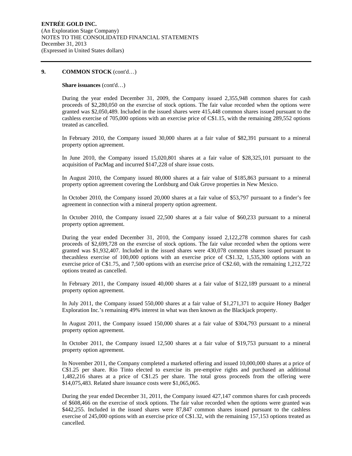#### **Share issuances** (cont'd…)

During the year ended December 31, 2009, the Company issued 2,355,948 common shares for cash proceeds of \$2,280,050 on the exercise of stock options. The fair value recorded when the options were granted was \$2,050,489. Included in the issued shares were 415,448 common shares issued pursuant to the cashless exercise of 705,000 options with an exercise price of C\$1.15, with the remaining 289,552 options treated as cancelled.

In February 2010, the Company issued 30,000 shares at a fair value of \$82,391 pursuant to a mineral property option agreement.

In June 2010, the Company issued 15,020,801 shares at a fair value of \$28,325,101 pursuant to the acquisition of PacMag and incurred \$147,228 of share issue costs.

In August 2010, the Company issued 80,000 shares at a fair value of \$185,863 pursuant to a mineral property option agreement covering the Lordsburg and Oak Grove properties in New Mexico.

In October 2010, the Company issued 20,000 shares at a fair value of \$53,797 pursuant to a finder's fee agreement in connection with a mineral property option agreement.

In October 2010, the Company issued 22,500 shares at a fair value of \$60,233 pursuant to a mineral property option agreement.

During the year ended December 31, 2010, the Company issued 2,122,278 common shares for cash proceeds of \$2,699,728 on the exercise of stock options. The fair value recorded when the options were granted was \$1,932,407. Included in the issued shares were 430,078 common shares issued pursuant to thecashless exercise of 100,000 options with an exercise price of C\$1.32, 1,535,300 options with an exercise price of C\$1.75, and 7,500 options with an exercise price of C\$2.60, with the remaining 1,212,722 options treated as cancelled.

In February 2011, the Company issued 40,000 shares at a fair value of \$122,189 pursuant to a mineral property option agreement.

In July 2011, the Company issued 550,000 shares at a fair value of \$1,271,371 to acquire Honey Badger Exploration Inc.'s remaining 49% interest in what was then known as the Blackjack property.

In August 2011, the Company issued 150,000 shares at a fair value of \$304,793 pursuant to a mineral property option agreement.

In October 2011, the Company issued 12,500 shares at a fair value of \$19,753 pursuant to a mineral property option agreement.

In November 2011, the Company completed a marketed offering and issued 10,000,000 shares at a price of C\$1.25 per share. Rio Tinto elected to exercise its pre-emptive rights and purchased an additional 1,482,216 shares at a price of C\$1.25 per share. The total gross proceeds from the offering were \$14,075,483. Related share issuance costs were \$1,065,065.

During the year ended December 31, 2011, the Company issued 427,147 common shares for cash proceeds of \$608,466 on the exercise of stock options. The fair value recorded when the options were granted was \$442,255. Included in the issued shares were 87,847 common shares issued pursuant to the cashless exercise of 245,000 options with an exercise price of C\$1.32, with the remaining 157,153 options treated as cancelled.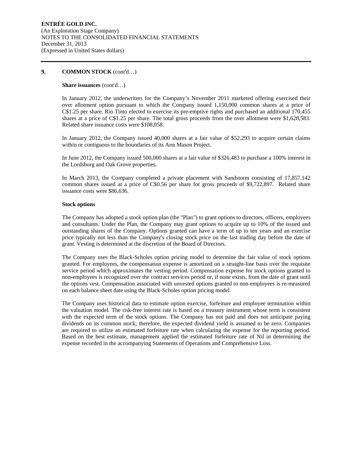#### **Share issuances** (cont'd…)

In January 2012, the underwriters for the Company's November 2011 marketed offering exercised their over allotment option pursuant to which the Company issued 1,150,000 common shares at a price of C\$1.25 per share. Rio Tinto elected to exercise its pre-emptive rights and purchased an additional 170,455 shares at a price of C\$1.25 per share. The total gross proceeds from the over allotment were \$1,628,583. Related share issuance costs were \$108,058.

In January 2012, the Company issued 40,000 shares at a fair value of \$52,293 to acquire certain claims within or contiguous to the boundaries of its Ann Mason Project.

In June 2012, the Company issued 500,000 shares at a fair value of \$326,483 to purchase a 100% interest in the Lordsburg and Oak Grove properties.

In March 2013, the Company completed a private placement with Sandstorm consisting of 17,857,142 common shares issued at a price of C\$0.56 per share for gross proceeds of \$9,722,897. Related share issuance costs were \$86,636.

#### **Stock options**

The Company has adopted a stock option plan (the "Plan") to grant options to directors, officers, employees and consultants. Under the Plan, the Company may grant options to acquire up to 10% of the issued and outstanding shares of the Company. Options granted can have a term of up to ten years and an exercise price typically not less than the Company's closing stock price on the last trading day before the date of grant. Vesting is determined at the discretion of the Board of Directors.

The Company uses the Black-Scholes option pricing model to determine the fair value of stock options granted. For employees, the compensation expense is amortized on a straight-line basis over the requisite service period which approximates the vesting period. Compensation expense for stock options granted to non-employees is recognized over the contract services period or, if none exists, from the date of grant until the options vest. Compensation associated with unvested options granted to non-employees is re-measured on each balance sheet date using the Black-Scholes option pricing model.

The Company uses historical data to estimate option exercise, forfeiture and employee termination within the valuation model. The risk-free interest rate is based on a treasury instrument whose term is consistent with the expected term of the stock options. The Company has not paid and does not anticipate paying dividends on its common stock; therefore, the expected dividend yield is assumed to be zero. Companies are required to utilize an estimated forfeiture rate when calculating the expense for the reporting period. Based on the best estimate, management applied the estimated forfeiture rate of Nil in determining the expense recorded in the accompanying Statements of Operations and Comprehensive Loss.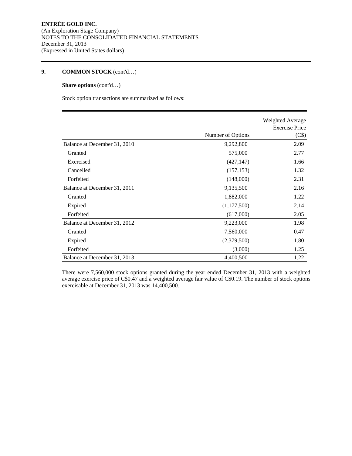#### **Share options** (cont'd…)

Stock option transactions are summarized as follows:

|                              |                   | Weighted Average<br><b>Exercise Price</b> |
|------------------------------|-------------------|-------------------------------------------|
|                              | Number of Options | (C <sub>3</sub> )                         |
| Balance at December 31, 2010 | 9,292,800         | 2.09                                      |
| Granted                      | 575,000           | 2.77                                      |
| Exercised                    | (427, 147)        | 1.66                                      |
| Cancelled                    | (157, 153)        | 1.32                                      |
| Forfeited                    | (148,000)         | 2.31                                      |
| Balance at December 31, 2011 | 9,135,500         | 2.16                                      |
| Granted                      | 1,882,000         | 1.22                                      |
| Expired                      | (1, 177, 500)     | 2.14                                      |
| Forfeited                    | (617,000)         | 2.05                                      |
| Balance at December 31, 2012 | 9,223,000         | 1.98                                      |
| Granted                      | 7,560,000         | 0.47                                      |
| Expired                      | (2,379,500)       | 1.80                                      |
| Forfeited                    | (3,000)           | 1.25                                      |
| Balance at December 31, 2013 | 14,400,500        | 1.22                                      |

There were 7,560,000 stock options granted during the year ended December 31, 2013 with a weighted average exercise price of C\$0.47 and a weighted average fair value of C\$0.19. The number of stock options exercisable at December 31, 2013 was 14,400,500.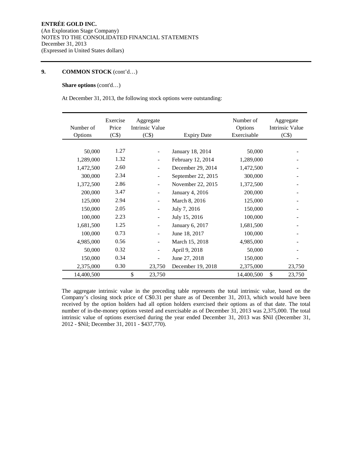#### **Share options** (cont'd…)

At December 31, 2013, the following stock options were outstanding:

| Number of<br>Options | Exercise<br>Price<br>(C\$) | Aggregate<br><b>Intrinsic Value</b><br>(C\$) | <b>Expiry Date</b> | Number of<br>Options<br>Exercisable | Aggregate<br><b>Intrinsic Value</b><br>(C\$) |
|----------------------|----------------------------|----------------------------------------------|--------------------|-------------------------------------|----------------------------------------------|
|                      |                            |                                              |                    |                                     |                                              |
| 50,000               | 1.27                       |                                              | January 18, 2014   | 50,000                              |                                              |
| 1,289,000            | 1.32                       |                                              | February 12, 2014  | 1,289,000                           |                                              |
| 1,472,500            | 2.60                       |                                              | December 29, 2014  | 1,472,500                           |                                              |
| 300,000              | 2.34                       |                                              | September 22, 2015 | 300,000                             |                                              |
| 1,372,500            | 2.86                       | $\overline{\phantom{a}}$                     | November 22, 2015  | 1,372,500                           |                                              |
| 200,000              | 3.47                       |                                              | January 4, 2016    | 200,000                             |                                              |
| 125,000              | 2.94                       |                                              | March 8, 2016      | 125,000                             |                                              |
| 150,000              | 2.05                       |                                              | July 7, 2016       | 150,000                             |                                              |
| 100,000              | 2.23                       |                                              | July 15, 2016      | 100,000                             |                                              |
| 1,681,500            | 1.25                       |                                              | January 6, 2017    | 1,681,500                           |                                              |
| 100,000              | 0.73                       |                                              | June 18, 2017      | 100,000                             |                                              |
| 4,985,000            | 0.56                       |                                              | March 15, 2018     | 4,985,000                           |                                              |
| 50,000               | 0.32                       |                                              | April 9, 2018      | 50,000                              |                                              |
| 150,000              | 0.34                       |                                              | June 27, 2018      | 150,000                             |                                              |
| 2,375,000            | 0.30                       | 23,750                                       | December 19, 2018  | 2,375,000                           | 23,750                                       |
| 14,400,500           |                            | \$<br>23,750                                 |                    | 14,400,500                          | $\mathsf{\$}$<br>23,750                      |

The aggregate intrinsic value in the preceding table represents the total intrinsic value, based on the Company's closing stock price of C\$0.31 per share as of December 31, 2013, which would have been received by the option holders had all option holders exercised their options as of that date. The total number of in-the-money options vested and exercisable as of December 31, 2013 was 2,375,000. The total intrinsic value of options exercised during the year ended December 31, 2013 was \$Nil (December 31, 2012 - \$Nil; December 31, 2011 - \$437,770).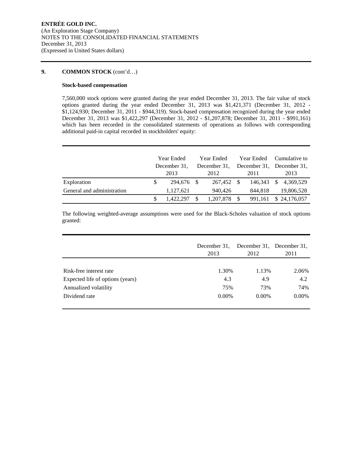#### **Stock-based compensation**

7,560,000 stock options were granted during the year ended December 31, 2013. The fair value of stock options granted during the year ended December 31, 2013 was \$1,421,371 (December 31, 2012 - \$1,124,930; December 31, 2011 - \$944,319). Stock-based compensation recognized during the year ended December 31, 2013 was \$1,422,297 (December 31, 2012 - \$1,207,878; December 31, 2011 - \$991,161) which has been recorded in the consolidated statements of operations as follows with corresponding additional paid-in capital recorded in stockholders' equity:

|                            | Year Ended<br>December 31. |            | Year Ended<br>December 31, |            | Year Ended |         | Cumulative to<br>December 31, December 31, |              |
|----------------------------|----------------------------|------------|----------------------------|------------|------------|---------|--------------------------------------------|--------------|
|                            |                            | 2013       |                            | 2012       |            | 2011    |                                            | 2013         |
| Exploration                | S                          | 294,676 \$ |                            | 267,452 \$ |            | 146,343 | <sup>S</sup>                               | 4,369,529    |
| General and administration |                            | 1,127,621  |                            | 940.426    |            | 844.818 |                                            | 19,806,528   |
|                            |                            | 1.422.297  |                            | 1,207,878  |            | 991,161 |                                            | \$24,176,057 |

The following weighted-average assumptions were used for the Black-Scholes valuation of stock options granted:

|                                  | December 31.<br>2013 | December 31, December 31,<br>2012 | 2011     |
|----------------------------------|----------------------|-----------------------------------|----------|
|                                  |                      |                                   |          |
| Risk-free interest rate          | 1.30%                | 1.13%                             | 2.06%    |
| Expected life of options (years) | 4.3                  | 4.9                               | 4.2      |
| Annualized volatility            | 75%                  | 73%                               | 74%      |
| Dividend rate                    | $0.00\%$             | $0.00\%$                          | $0.00\%$ |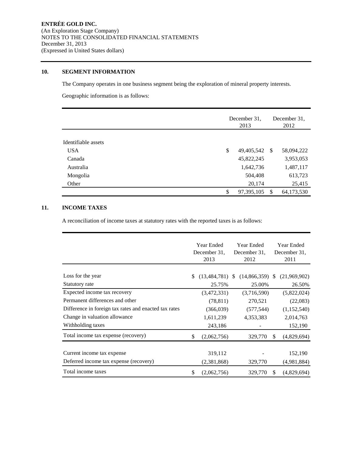#### **10. SEGMENT INFORMATION**

The Company operates in one business segment being the exploration of mineral property interests.

Geographic information is as follows:

|                     | December 31,<br>2013 | December 31.<br>2012 |            |  |
|---------------------|----------------------|----------------------|------------|--|
| Identifiable assets |                      |                      |            |  |
| <b>USA</b>          | \$<br>49,405,542     | -S                   | 58,094,222 |  |
| Canada              | 45,822,245           |                      | 3,953,053  |  |
| Australia           | 1,642,736            |                      | 1,487,117  |  |
| Mongolia            | 504,408              |                      | 613,723    |  |
| Other               | 20,174               |                      | 25,415     |  |
|                     | \$<br>97,395,105     | -S                   | 64,173,530 |  |

#### **11. INCOME TAXES**

A reconciliation of income taxes at statutory rates with the reported taxes is as follows:

|                                                       | <b>Year Ended</b><br>December 31,<br>2013 | <b>Year Ended</b><br>December 31.<br>2012 |                   | Year Ended<br>December 31,<br>2011 |              |
|-------------------------------------------------------|-------------------------------------------|-------------------------------------------|-------------------|------------------------------------|--------------|
| Loss for the year                                     | \$<br>$(13, 484, 781)$ \$                 |                                           | $(14,866,359)$ \$ |                                    | (21,969,902) |
| Statutory rate                                        | 25.75%                                    |                                           | 25.00%            |                                    | 26.50%       |
| Expected income tax recovery                          | (3,472,331)                               |                                           | (3,716,590)       |                                    | (5,822,024)  |
| Permanent differences and other                       | (78, 811)                                 |                                           | 270,521           |                                    | (22,083)     |
| Difference in foreign tax rates and enacted tax rates | (366,039)                                 |                                           | (577, 544)        |                                    | (1,152,540)  |
| Change in valuation allowance                         | 1,611,239                                 |                                           | 4,353,383         |                                    | 2,014,763    |
| Withholding taxes                                     | 243,186                                   |                                           |                   |                                    | 152,190      |
| Total income tax expense (recovery)                   | \$<br>(2,062,756)                         |                                           | 329,770           | \$                                 | (4,829,694)  |
|                                                       |                                           |                                           |                   |                                    |              |
| Current income tax expense                            | 319,112                                   |                                           |                   |                                    | 152,190      |
| Deferred income tax expense (recovery)                | (2,381,868)                               |                                           | 329,770           |                                    | (4,981,884)  |
| Total income taxes                                    | \$<br>(2,062,756)                         |                                           | 329,770           | \$                                 | (4,829,694)  |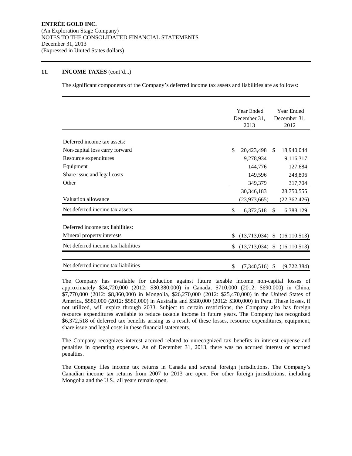#### **11. INCOME TAXES** (cont'd...)

The significant components of the Company's deferred income tax assets and liabilities are as follows:

|                                     | Year Ended<br>December 31,<br>2013 |               | Year Ended<br>December 31,<br>2012 |  |
|-------------------------------------|------------------------------------|---------------|------------------------------------|--|
| Deferred income tax assets:         |                                    |               |                                    |  |
| Non-capital loss carry forward      | \$<br>20,423,498                   | S.            | 18,940,044                         |  |
| Resource expenditures               | 9,278,934                          |               | 9,116,317                          |  |
| Equipment                           | 144,776                            |               | 127,684                            |  |
| Share issue and legal costs         | 149,596                            |               | 248,806                            |  |
| Other                               | 349,379                            |               | 317,704                            |  |
|                                     | 30, 346, 183                       |               | 28,750,555                         |  |
| Valuation allowance                 | (23, 973, 665)                     |               | (22, 362, 426)                     |  |
| Net deferred income tax assets      | \$<br>6,372,518                    | \$            | 6,388,129                          |  |
| Deferred income tax liabilities:    |                                    |               |                                    |  |
| Mineral property interests          | \$<br>$(13,713,034)$ \$            |               | (16, 110, 513)                     |  |
| Net deferred income tax liabilities | \$<br>(13,713,034)                 | <sup>\$</sup> | (16, 110, 513)                     |  |
| Net deferred income tax liabilities | \$<br>(7,340,516)                  | <sup>S</sup>  | (9,722,384)                        |  |

The Company has available for deduction against future taxable income non-capital losses of approximately \$34,720,000 (2012: \$30,380,000) in Canada, \$710,000 (2012: \$690,000) in China, \$7,770,000 (2012: \$8,860,000) in Mongolia, \$26,270,000 (2012: \$25,470,000) in the United States of America, \$580,000 (2012: \$580,000) in Australia and \$580,000 (2012: \$300,000) in Peru. These losses, if not utilized, will expire through 2033. Subject to certain restrictions, the Company also has foreign resource expenditures available to reduce taxable income in future years. The Company has recognized \$6,372,518 of deferred tax benefits arising as a result of these losses, resource expenditures, equipment, share issue and legal costs in these financial statements.

The Company recognizes interest accrued related to unrecognized tax benefits in interest expense and penalties in operating expenses. As of December 31, 2013, there was no accrued interest or accrued penalties.

The Company files income tax returns in Canada and several foreign jurisdictions. The Company's Canadian income tax returns from 2007 to 2013 are open. For other foreign jurisdictions, including Mongolia and the U.S., all years remain open.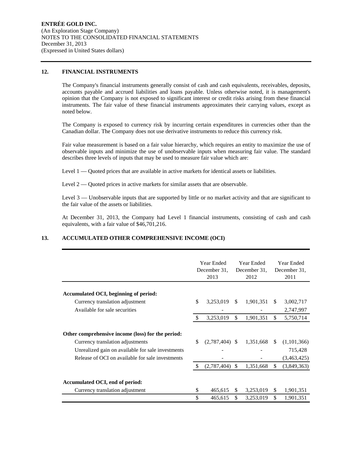#### **12. FINANCIAL INSTRUMENTS**

The Company's financial instruments generally consist of cash and cash equivalents, receivables, deposits, accounts payable and accrued liabilities and loans payable. Unless otherwise noted, it is management's opinion that the Company is not exposed to significant interest or credit risks arising from these financial instruments. The fair value of these financial instruments approximates their carrying values, except as noted below.

The Company is exposed to currency risk by incurring certain expenditures in currencies other than the Canadian dollar. The Company does not use derivative instruments to reduce this currency risk.

Fair value measurement is based on a fair value hierarchy, which requires an entity to maximize the use of observable inputs and minimize the use of unobservable inputs when measuring fair value. The standard describes three levels of inputs that may be used to measure fair value which are:

Level 1 — Quoted prices that are available in active markets for identical assets or liabilities.

Level  $2 -$  Quoted prices in active markets for similar assets that are observable.

Level 3 — Unobservable inputs that are supported by little or no market activity and that are significant to the fair value of the assets or liabilities.

At December 31, 2013, the Company had Level 1 financial instruments, consisting of cash and cash equivalents, with a fair value of \$46,701,216.

#### **13. ACCUMULATED OTHER COMPREHENSIVE INCOME (OCI)**

|                                                                                                                                            | Year Ended<br>December 31,<br>2013 |                  | Year Ended<br>December 31,<br>2012 |           | Year Ended<br>December 31,<br>2011 |                        |
|--------------------------------------------------------------------------------------------------------------------------------------------|------------------------------------|------------------|------------------------------------|-----------|------------------------------------|------------------------|
| Accumulated OCI, beginning of period:                                                                                                      |                                    |                  |                                    |           |                                    |                        |
| Currency translation adjustment                                                                                                            | \$                                 | 3,253,019        | <sup>\$</sup>                      | 1,901,351 | \$.                                | 3,002,717              |
| Available for sale securities                                                                                                              |                                    |                  |                                    |           |                                    | 2,747,997              |
|                                                                                                                                            | \$                                 | 3,253,019        | \$                                 | 1,901,351 | \$                                 | 5,750,714              |
| Other comprehensive income (loss) for the period:<br>Currency translation adjustments<br>Unrealized gain on available for sale investments | \$                                 | $(2,787,404)$ \$ |                                    | 1,351,668 | \$.                                | (1,101,366)<br>715,428 |
| Release of OCI on available for sale investments                                                                                           |                                    |                  |                                    |           |                                    | (3,463,425)            |
|                                                                                                                                            | <sup>\$</sup>                      | (2,787,404)      | <sup>\$</sup>                      | 1,351,668 | \$                                 | (3,849,363)            |
| Accumulated OCI, end of period:                                                                                                            |                                    |                  |                                    |           |                                    |                        |
| Currency translation adjustment                                                                                                            | \$                                 | 465,615          | \$.                                | 3,253,019 | \$                                 | 1,901,351              |
|                                                                                                                                            | \$                                 | 465,615          | \$.                                | 3,253,019 | \$                                 | 1,901,351              |